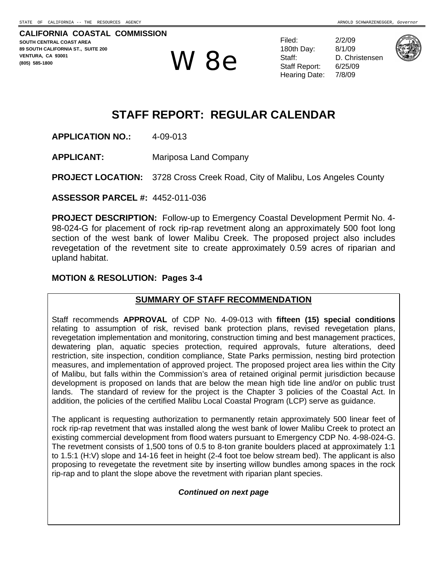**CALIFORNIA COASTAL COMMISSION SOUTH CENTRAL COAST AREA 89 SOUTH CALIFORNIA ST., SUITE 200 VENTURA, CA 93001 (805) 585-1800** 

 $\mathbf{W}$   $\mathbf{8}$   $\mathbf{e}$  Staff: D. Chris Staff Report: 6/25/09

Filed: 2/2/09 180th Day: Staff: D. Christensen Staff Report: Hearing Date: 7/8/09

8/1/09  $6/25/09$ 



# **STAFF REPORT: REGULAR CALENDAR**

**APPLICATION NO.:** 4-09-013

**APPLICANT:** Mariposa Land Company

**PROJECT LOCATION:** 3728 Cross Creek Road, City of Malibu, Los Angeles County

**ASSESSOR PARCEL #:** 4452-011-036

**PROJECT DESCRIPTION:** Follow-up to Emergency Coastal Development Permit No. 4- 98-024-G for placement of rock rip-rap revetment along an approximately 500 foot long section of the west bank of lower Malibu Creek. The proposed project also includes revegetation of the revetment site to create approximately 0.59 acres of riparian and upland habitat.

#### **MOTION & RESOLUTION: Pages 3-4**

## **SUMMARY OF STAFF RECOMMENDATION**

Staff recommends **APPROVAL** of CDP No. 4-09-013 with **fifteen (15) special conditions** relating to assumption of risk, revised bank protection plans, revised revegetation plans, revegetation implementation and monitoring, construction timing and best management practices, dewatering plan, aquatic species protection, required approvals, future alterations, deed restriction, site inspection, condition compliance, State Parks permission, nesting bird protection measures, and implementation of approved project. The proposed project area lies within the City of Malibu, but falls within the Commission's area of retained original permit jurisdiction because development is proposed on lands that are below the mean high tide line and/or on public trust lands. The standard of review for the project is the Chapter 3 policies of the Coastal Act. In addition, the policies of the certified Malibu Local Coastal Program (LCP) serve as guidance.

The applicant is requesting authorization to permanently retain approximately 500 linear feet of rock rip-rap revetment that was installed along the west bank of lower Malibu Creek to protect an existing commercial development from flood waters pursuant to Emergency CDP No. 4-98-024-G. The revetment consists of 1,500 tons of 0.5 to 8-ton granite boulders placed at approximately 1:1 to 1.5:1 (H:V) slope and 14-16 feet in height (2-4 foot toe below stream bed). The applicant is also proposing to revegetate the revetment site by inserting willow bundles among spaces in the rock rip-rap and to plant the slope above the revetment with riparian plant species.

#### *Continued on next page*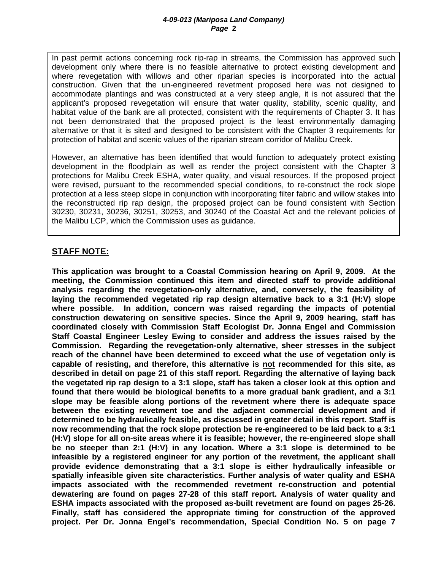In past permit actions concerning rock rip-rap in streams, the Commission has approved such development only where there is no feasible alternative to protect existing development and where revegetation with willows and other riparian species is incorporated into the actual construction. Given that the un-engineered revetment proposed here was not designed to accommodate plantings and was constructed at a very steep angle, it is not assured that the applicant's proposed revegetation will ensure that water quality, stability, scenic quality, and habitat value of the bank are all protected, consistent with the requirements of Chapter 3. It has not been demonstrated that the proposed project is the least environmentally damaging alternative or that it is sited and designed to be consistent with the Chapter 3 requirements for protection of habitat and scenic values of the riparian stream corridor of Malibu Creek.

However, an alternative has been identified that would function to adequately protect existing development in the floodplain as well as render the project consistent with the Chapter 3 protections for Malibu Creek ESHA, water quality, and visual resources. If the proposed project were revised, pursuant to the recommended special conditions, to re-construct the rock slope protection at a less steep slope in conjunction with incorporating filter fabric and willow stakes into the reconstructed rip rap design, the proposed project can be found consistent with Section 30230, 30231, 30236, 30251, 30253, and 30240 of the Coastal Act and the relevant policies of the Malibu LCP, which the Commission uses as guidance.

## **STAFF NOTE:**

**This application was brought to a Coastal Commission hearing on April 9, 2009. At the meeting, the Commission continued this item and directed staff to provide additional analysis regarding the revegetation-only alternative, and, conversely, the feasibility of laying the recommended vegetated rip rap design alternative back to a 3:1 (H:V) slope where possible. In addition, concern was raised regarding the impacts of potential construction dewatering on sensitive species. Since the April 9, 2009 hearing, staff has coordinated closely with Commission Staff Ecologist Dr. Jonna Engel and Commission Staff Coastal Engineer Lesley Ewing to consider and address the issues raised by the Commission. Regarding the revegetation-only alternative, sheer stresses in the subject reach of the channel have been determined to exceed what the use of vegetation only is capable of resisting, and therefore, this alternative is not recommended for this site, as described in detail on page 21 of this staff report. Regarding the alternative of laying back the vegetated rip rap design to a 3:1 slope, staff has taken a closer look at this option and found that there would be biological benefits to a more gradual bank gradient, and a 3:1 slope may be feasible along portions of the revetment where there is adequate space between the existing revetment toe and the adjacent commercial development and if determined to be hydraulically feasible, as discussed in greater detail in this report. Staff is now recommending that the rock slope protection be re-engineered to be laid back to a 3:1 (H:V) slope for all on-site areas where it is feasible; however, the re-engineered slope shall be no steeper than 2:1 (H:V) in any location. Where a 3:1 slope is determined to be infeasible by a registered engineer for any portion of the revetment, the applicant shall provide evidence demonstrating that a 3:1 slope is either hydraulically infeasible or spatially infeasible given site characteristics. Further analysis of water quality and ESHA impacts associated with the recommended revetment re-construction and potential dewatering are found on pages 27-28 of this staff report. Analysis of water quality and ESHA impacts associated with the proposed as-built revetment are found on pages 25-26. Finally, staff has considered the appropriate timing for construction of the approved project. Per Dr. Jonna Engel's recommendation, Special Condition No. 5 on page 7**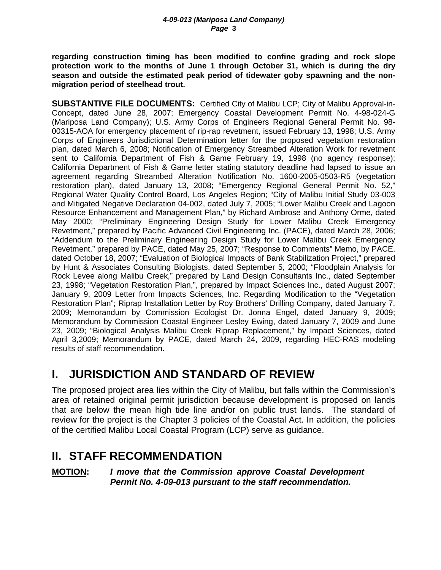**regarding construction timing has been modified to confine grading and rock slope protection work to the months of June 1 through October 31, which is during the dry season and outside the estimated peak period of tidewater goby spawning and the nonmigration period of steelhead trout.** 

**SUBSTANTIVE FILE DOCUMENTS:** Certified City of Malibu LCP; City of Malibu Approval-in-Concept, dated June 28, 2007; Emergency Coastal Development Permit No. 4-98-024-G (Mariposa Land Company); U.S. Army Corps of Engineers Regional General Permit No. 98- 00315-AOA for emergency placement of rip-rap revetment, issued February 13, 1998; U.S. Army Corps of Engineers Jurisdictional Determination letter for the proposed vegetation restoration plan, dated March 6, 2008; Notification of Emergency Streambed Alteration Work for revetment sent to California Department of Fish & Game February 19, 1998 (no agency response); California Department of Fish & Game letter stating statutory deadline had lapsed to issue an agreement regarding Streambed Alteration Notification No. 1600-2005-0503-R5 (vegetation restoration plan), dated January 13, 2008; "Emergency Regional General Permit No. 52," Regional Water Quality Control Board, Los Angeles Region; "City of Malibu Initial Study 03-003 and Mitigated Negative Declaration 04-002, dated July 7, 2005; "Lower Malibu Creek and Lagoon Resource Enhancement and Management Plan," by Richard Ambrose and Anthony Orme, dated May 2000; "Preliminary Engineering Design Study for Lower Malibu Creek Emergency Revetment," prepared by Pacific Advanced Civil Engineering Inc. (PACE), dated March 28, 2006; "Addendum to the Preliminary Engineering Design Study for Lower Malibu Creek Emergency Revetment," prepared by PACE, dated May 25, 2007; "Response to Comments" Memo, by PACE, dated October 18, 2007; "Evaluation of Biological Impacts of Bank Stabilization Project," prepared by Hunt & Associates Consulting Biologists, dated September 5, 2000; "Floodplain Analysis for Rock Levee along Malibu Creek," prepared by Land Design Consultants Inc., dated September 23, 1998; "Vegetation Restoration Plan,", prepared by Impact Sciences Inc., dated August 2007; January 9, 2009 Letter from Impacts Sciences, Inc. Regarding Modification to the "Vegetation Restoration Plan"; Riprap Installation Letter by Roy Brothers' Drilling Company, dated January 7, 2009; Memorandum by Commission Ecologist Dr. Jonna Engel, dated January 9, 2009; Memorandum by Commission Coastal Engineer Lesley Ewing, dated January 7, 2009 and June 23, 2009; "Biological Analysis Malibu Creek Riprap Replacement," by Impact Sciences, dated April 3,2009; Memorandum by PACE, dated March 24, 2009, regarding HEC-RAS modeling results of staff recommendation.

# **I. JURISDICTION AND STANDARD OF REVIEW**

The proposed project area lies within the City of Malibu, but falls within the Commission's area of retained original permit jurisdiction because development is proposed on lands that are below the mean high tide line and/or on public trust lands. The standard of review for the project is the Chapter 3 policies of the Coastal Act. In addition, the policies of the certified Malibu Local Coastal Program (LCP) serve as guidance.

# **II. STAFF RECOMMENDATION**

## **MOTION:** *I move that the Commission approve Coastal Development Permit No. 4-09-013 pursuant to the staff recommendation.*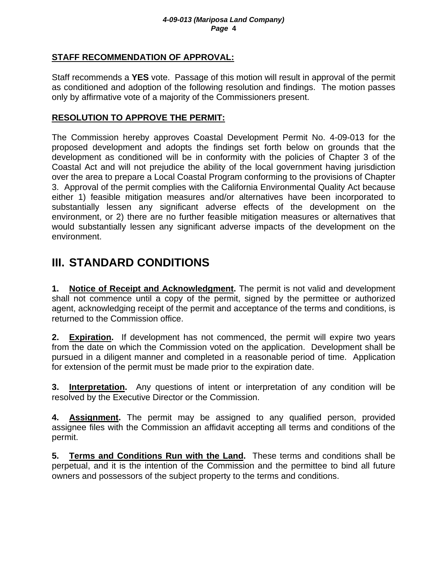## **STAFF RECOMMENDATION OF APPROVAL:**

Staff recommends a **YES** vote. Passage of this motion will result in approval of the permit as conditioned and adoption of the following resolution and findings. The motion passes only by affirmative vote of a majority of the Commissioners present.

## **RESOLUTION TO APPROVE THE PERMIT:**

The Commission hereby approves Coastal Development Permit No. 4-09-013 for the proposed development and adopts the findings set forth below on grounds that the development as conditioned will be in conformity with the policies of Chapter 3 of the Coastal Act and will not prejudice the ability of the local government having jurisdiction over the area to prepare a Local Coastal Program conforming to the provisions of Chapter 3. Approval of the permit complies with the California Environmental Quality Act because either 1) feasible mitigation measures and/or alternatives have been incorporated to substantially lessen any significant adverse effects of the development on the environment, or 2) there are no further feasible mitigation measures or alternatives that would substantially lessen any significant adverse impacts of the development on the environment.

# **III. STANDARD CONDITIONS**

**1. Notice of Receipt and Acknowledgment.** The permit is not valid and development shall not commence until a copy of the permit, signed by the permittee or authorized agent, acknowledging receipt of the permit and acceptance of the terms and conditions, is returned to the Commission office.

**2. Expiration.** If development has not commenced, the permit will expire two years from the date on which the Commission voted on the application. Development shall be pursued in a diligent manner and completed in a reasonable period of time. Application for extension of the permit must be made prior to the expiration date.

**3. Interpretation.** Any questions of intent or interpretation of any condition will be resolved by the Executive Director or the Commission.

**4. Assignment.** The permit may be assigned to any qualified person, provided assignee files with the Commission an affidavit accepting all terms and conditions of the permit.

**5. Terms and Conditions Run with the Land.** These terms and conditions shall be perpetual, and it is the intention of the Commission and the permittee to bind all future owners and possessors of the subject property to the terms and conditions.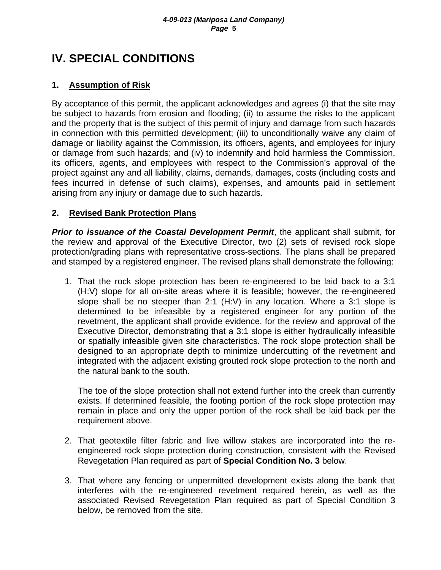# **IV. SPECIAL CONDITIONS**

## **1. Assumption of Risk**

By acceptance of this permit, the applicant acknowledges and agrees (i) that the site may be subject to hazards from erosion and flooding; (ii) to assume the risks to the applicant and the property that is the subject of this permit of injury and damage from such hazards in connection with this permitted development; (iii) to unconditionally waive any claim of damage or liability against the Commission, its officers, agents, and employees for injury or damage from such hazards; and (iv) to indemnify and hold harmless the Commission, its officers, agents, and employees with respect to the Commission's approval of the project against any and all liability, claims, demands, damages, costs (including costs and fees incurred in defense of such claims), expenses, and amounts paid in settlement arising from any injury or damage due to such hazards.

## **2. Revised Bank Protection Plans**

*Prior to issuance of the Coastal Development Permit*, the applicant shall submit, for the review and approval of the Executive Director, two (2) sets of revised rock slope protection/grading plans with representative cross-sections. The plans shall be prepared and stamped by a registered engineer. The revised plans shall demonstrate the following:

1. That the rock slope protection has been re-engineered to be laid back to a 3:1 (H:V) slope for all on-site areas where it is feasible; however, the re-engineered slope shall be no steeper than 2:1 (H:V) in any location. Where a 3:1 slope is determined to be infeasible by a registered engineer for any portion of the revetment, the applicant shall provide evidence, for the review and approval of the Executive Director, demonstrating that a 3:1 slope is either hydraulically infeasible or spatially infeasible given site characteristics. The rock slope protection shall be designed to an appropriate depth to minimize undercutting of the revetment and integrated with the adjacent existing grouted rock slope protection to the north and the natural bank to the south.

The toe of the slope protection shall not extend further into the creek than currently exists. If determined feasible, the footing portion of the rock slope protection may remain in place and only the upper portion of the rock shall be laid back per the requirement above.

- 2. That geotextile filter fabric and live willow stakes are incorporated into the reengineered rock slope protection during construction, consistent with the Revised Revegetation Plan required as part of **Special Condition No. 3** below.
- 3. That where any fencing or unpermitted development exists along the bank that interferes with the re-engineered revetment required herein, as well as the associated Revised Revegetation Plan required as part of Special Condition 3 below, be removed from the site.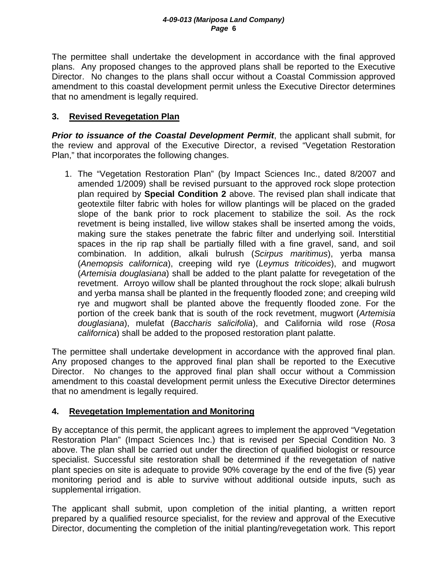The permittee shall undertake the development in accordance with the final approved plans. Any proposed changes to the approved plans shall be reported to the Executive Director. No changes to the plans shall occur without a Coastal Commission approved amendment to this coastal development permit unless the Executive Director determines that no amendment is legally required.

## **3. Revised Revegetation Plan**

*Prior to issuance of the Coastal Development Permit*, the applicant shall submit, for the review and approval of the Executive Director, a revised "Vegetation Restoration Plan," that incorporates the following changes.

1. The "Vegetation Restoration Plan" (by Impact Sciences Inc., dated 8/2007 and amended 1/2009) shall be revised pursuant to the approved rock slope protection plan required by **Special Condition 2** above. The revised plan shall indicate that geotextile filter fabric with holes for willow plantings will be placed on the graded slope of the bank prior to rock placement to stabilize the soil. As the rock revetment is being installed, live willow stakes shall be inserted among the voids, making sure the stakes penetrate the fabric filter and underlying soil. Interstitial spaces in the rip rap shall be partially filled with a fine gravel, sand, and soil combination. In addition, alkali bulrush (*Scirpus maritimus*), yerba mansa (*Anemopsis californica*), creeping wild rye (*Leymus triticoides*), and mugwort (*Artemisia douglasiana*) shall be added to the plant palatte for revegetation of the revetment. Arroyo willow shall be planted throughout the rock slope; alkali bulrush and yerba mansa shall be planted in the frequently flooded zone; and creeping wild rye and mugwort shall be planted above the frequently flooded zone. For the portion of the creek bank that is south of the rock revetment, mugwort (*Artemisia douglasiana*), mulefat (*Baccharis salicifolia*), and California wild rose (*Rosa californica*) shall be added to the proposed restoration plant palatte.

The permittee shall undertake development in accordance with the approved final plan. Any proposed changes to the approved final plan shall be reported to the Executive Director. No changes to the approved final plan shall occur without a Commission amendment to this coastal development permit unless the Executive Director determines that no amendment is legally required.

## **4. Revegetation Implementation and Monitoring**

By acceptance of this permit, the applicant agrees to implement the approved "Vegetation Restoration Plan" (Impact Sciences Inc.) that is revised per Special Condition No. 3 above. The plan shall be carried out under the direction of qualified biologist or resource specialist. Successful site restoration shall be determined if the revegetation of native plant species on site is adequate to provide 90% coverage by the end of the five (5) year monitoring period and is able to survive without additional outside inputs, such as supplemental irrigation.

The applicant shall submit, upon completion of the initial planting, a written report prepared by a qualified resource specialist, for the review and approval of the Executive Director, documenting the completion of the initial planting/revegetation work. This report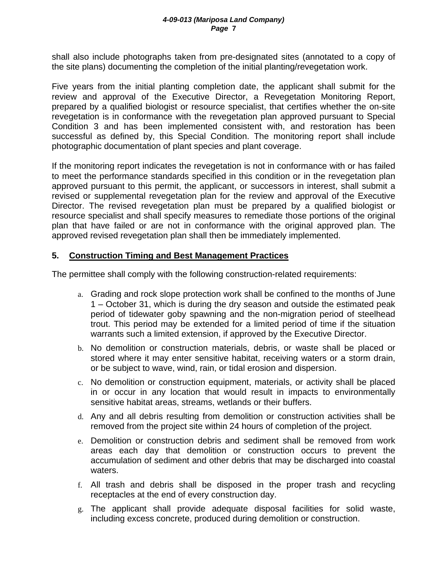shall also include photographs taken from pre-designated sites (annotated to a copy of the site plans) documenting the completion of the initial planting/revegetation work.

Five years from the initial planting completion date, the applicant shall submit for the review and approval of the Executive Director, a Revegetation Monitoring Report, prepared by a qualified biologist or resource specialist, that certifies whether the on-site revegetation is in conformance with the revegetation plan approved pursuant to Special Condition 3 and has been implemented consistent with, and restoration has been successful as defined by, this Special Condition. The monitoring report shall include photographic documentation of plant species and plant coverage.

If the monitoring report indicates the revegetation is not in conformance with or has failed to meet the performance standards specified in this condition or in the revegetation plan approved pursuant to this permit, the applicant, or successors in interest, shall submit a revised or supplemental revegetation plan for the review and approval of the Executive Director. The revised revegetation plan must be prepared by a qualified biologist or resource specialist and shall specify measures to remediate those portions of the original plan that have failed or are not in conformance with the original approved plan. The approved revised revegetation plan shall then be immediately implemented.

## **5. Construction Timing and Best Management Practices**

The permittee shall comply with the following construction-related requirements:

- a. Grading and rock slope protection work shall be confined to the months of June 1 – October 31, which is during the dry season and outside the estimated peak period of tidewater goby spawning and the non-migration period of steelhead trout. This period may be extended for a limited period of time if the situation warrants such a limited extension, if approved by the Executive Director.
- b. No demolition or construction materials, debris, or waste shall be placed or stored where it may enter sensitive habitat, receiving waters or a storm drain, or be subject to wave, wind, rain, or tidal erosion and dispersion.
- c. No demolition or construction equipment, materials, or activity shall be placed in or occur in any location that would result in impacts to environmentally sensitive habitat areas, streams, wetlands or their buffers.
- d. Any and all debris resulting from demolition or construction activities shall be removed from the project site within 24 hours of completion of the project.
- e. Demolition or construction debris and sediment shall be removed from work areas each day that demolition or construction occurs to prevent the accumulation of sediment and other debris that may be discharged into coastal waters.
- f. All trash and debris shall be disposed in the proper trash and recycling receptacles at the end of every construction day.
- g. The applicant shall provide adequate disposal facilities for solid waste, including excess concrete, produced during demolition or construction.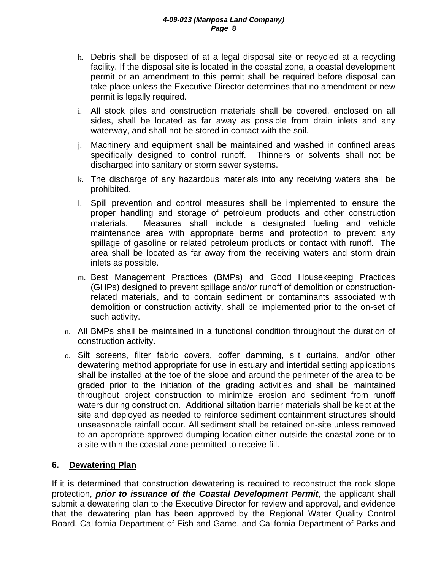- h. Debris shall be disposed of at a legal disposal site or recycled at a recycling facility. If the disposal site is located in the coastal zone, a coastal development permit or an amendment to this permit shall be required before disposal can take place unless the Executive Director determines that no amendment or new permit is legally required.
- i. All stock piles and construction materials shall be covered, enclosed on all sides, shall be located as far away as possible from drain inlets and any waterway, and shall not be stored in contact with the soil.
- j. Machinery and equipment shall be maintained and washed in confined areas specifically designed to control runoff. Thinners or solvents shall not be discharged into sanitary or storm sewer systems.
- k. The discharge of any hazardous materials into any receiving waters shall be prohibited.
- l. Spill prevention and control measures shall be implemented to ensure the proper handling and storage of petroleum products and other construction materials. Measures shall include a designated fueling and vehicle maintenance area with appropriate berms and protection to prevent any spillage of gasoline or related petroleum products or contact with runoff. The area shall be located as far away from the receiving waters and storm drain inlets as possible.
- m. Best Management Practices (BMPs) and Good Housekeeping Practices (GHPs) designed to prevent spillage and/or runoff of demolition or constructionrelated materials, and to contain sediment or contaminants associated with demolition or construction activity, shall be implemented prior to the on-set of such activity.
- n. All BMPs shall be maintained in a functional condition throughout the duration of construction activity.
- o. Silt screens, filter fabric covers, coffer damming, silt curtains, and/or other dewatering method appropriate for use in estuary and intertidal setting applications shall be installed at the toe of the slope and around the perimeter of the area to be graded prior to the initiation of the grading activities and shall be maintained throughout project construction to minimize erosion and sediment from runoff waters during construction. Additional siltation barrier materials shall be kept at the site and deployed as needed to reinforce sediment containment structures should unseasonable rainfall occur. All sediment shall be retained on-site unless removed to an appropriate approved dumping location either outside the coastal zone or to a site within the coastal zone permitted to receive fill.

## **6. Dewatering Plan**

If it is determined that construction dewatering is required to reconstruct the rock slope protection, *prior to issuance of the Coastal Development Permit*, the applicant shall submit a dewatering plan to the Executive Director for review and approval, and evidence that the dewatering plan has been approved by the Regional Water Quality Control Board, California Department of Fish and Game, and California Department of Parks and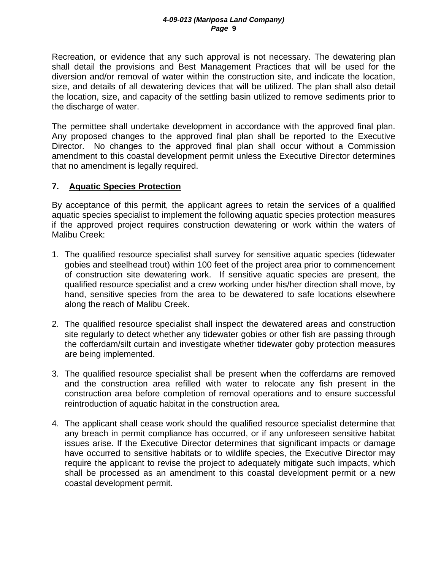Recreation, or evidence that any such approval is not necessary. The dewatering plan shall detail the provisions and Best Management Practices that will be used for the diversion and/or removal of water within the construction site, and indicate the location, size, and details of all dewatering devices that will be utilized. The plan shall also detail the location, size, and capacity of the settling basin utilized to remove sediments prior to the discharge of water.

The permittee shall undertake development in accordance with the approved final plan. Any proposed changes to the approved final plan shall be reported to the Executive Director. No changes to the approved final plan shall occur without a Commission amendment to this coastal development permit unless the Executive Director determines that no amendment is legally required.

## **7. Aquatic Species Protection**

By acceptance of this permit, the applicant agrees to retain the services of a qualified aquatic species specialist to implement the following aquatic species protection measures if the approved project requires construction dewatering or work within the waters of Malibu Creek:

- 1. The qualified resource specialist shall survey for sensitive aquatic species (tidewater gobies and steelhead trout) within 100 feet of the project area prior to commencement of construction site dewatering work. If sensitive aquatic species are present, the qualified resource specialist and a crew working under his/her direction shall move, by hand, sensitive species from the area to be dewatered to safe locations elsewhere along the reach of Malibu Creek.
- 2. The qualified resource specialist shall inspect the dewatered areas and construction site regularly to detect whether any tidewater gobies or other fish are passing through the cofferdam/silt curtain and investigate whether tidewater goby protection measures are being implemented.
- 3. The qualified resource specialist shall be present when the cofferdams are removed and the construction area refilled with water to relocate any fish present in the construction area before completion of removal operations and to ensure successful reintroduction of aquatic habitat in the construction area.
- 4. The applicant shall cease work should the qualified resource specialist determine that any breach in permit compliance has occurred, or if any unforeseen sensitive habitat issues arise. If the Executive Director determines that significant impacts or damage have occurred to sensitive habitats or to wildlife species, the Executive Director may require the applicant to revise the project to adequately mitigate such impacts, which shall be processed as an amendment to this coastal development permit or a new coastal development permit.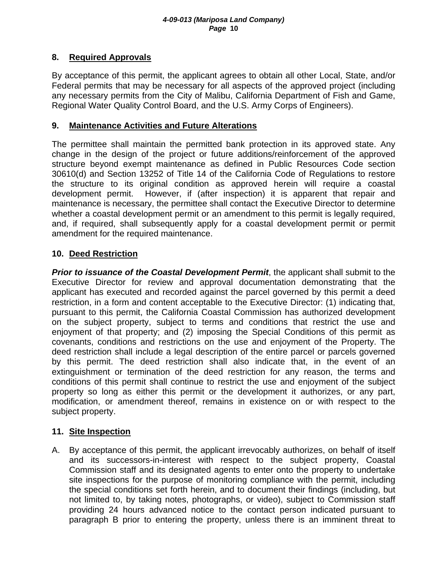## **8. Required Approvals**

By acceptance of this permit, the applicant agrees to obtain all other Local, State, and/or Federal permits that may be necessary for all aspects of the approved project (including any necessary permits from the City of Malibu, California Department of Fish and Game, Regional Water Quality Control Board, and the U.S. Army Corps of Engineers).

## **9. Maintenance Activities and Future Alterations**

The permittee shall maintain the permitted bank protection in its approved state. Any change in the design of the project or future additions/reinforcement of the approved structure beyond exempt maintenance as defined in Public Resources Code section 30610(d) and Section 13252 of Title 14 of the California Code of Regulations to restore the structure to its original condition as approved herein will require a coastal development permit. However, if (after inspection) it is apparent that repair and maintenance is necessary, the permittee shall contact the Executive Director to determine whether a coastal development permit or an amendment to this permit is legally required, and, if required, shall subsequently apply for a coastal development permit or permit amendment for the required maintenance.

## **10. Deed Restriction**

**Prior to issuance of the Coastal Development Permit**, the applicant shall submit to the Executive Director for review and approval documentation demonstrating that the applicant has executed and recorded against the parcel governed by this permit a deed restriction, in a form and content acceptable to the Executive Director: (1) indicating that, pursuant to this permit, the California Coastal Commission has authorized development on the subject property, subject to terms and conditions that restrict the use and enjoyment of that property; and (2) imposing the Special Conditions of this permit as covenants, conditions and restrictions on the use and enjoyment of the Property. The deed restriction shall include a legal description of the entire parcel or parcels governed by this permit. The deed restriction shall also indicate that, in the event of an extinguishment or termination of the deed restriction for any reason, the terms and conditions of this permit shall continue to restrict the use and enjoyment of the subject property so long as either this permit or the development it authorizes, or any part, modification, or amendment thereof, remains in existence on or with respect to the subject property.

## **11. Site Inspection**

A. By acceptance of this permit, the applicant irrevocably authorizes, on behalf of itself and its successors-in-interest with respect to the subject property, Coastal Commission staff and its designated agents to enter onto the property to undertake site inspections for the purpose of monitoring compliance with the permit, including the special conditions set forth herein, and to document their findings (including, but not limited to, by taking notes, photographs, or video), subject to Commission staff providing 24 hours advanced notice to the contact person indicated pursuant to paragraph B prior to entering the property, unless there is an imminent threat to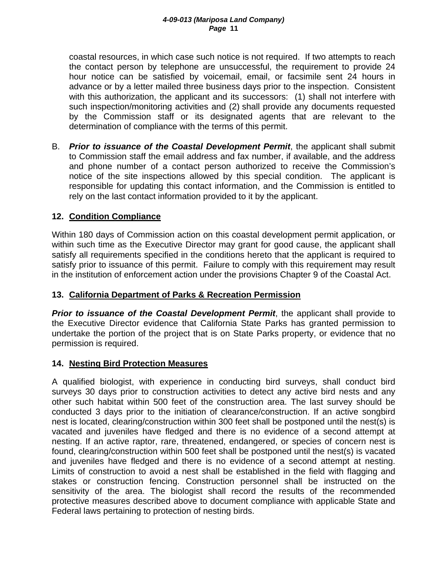coastal resources, in which case such notice is not required. If two attempts to reach the contact person by telephone are unsuccessful, the requirement to provide 24 hour notice can be satisfied by voicemail, email, or facsimile sent 24 hours in advance or by a letter mailed three business days prior to the inspection. Consistent with this authorization, the applicant and its successors: (1) shall not interfere with such inspection/monitoring activities and (2) shall provide any documents requested by the Commission staff or its designated agents that are relevant to the determination of compliance with the terms of this permit.

B. *Prior to issuance of the Coastal Development Permit*, the applicant shall submit to Commission staff the email address and fax number, if available, and the address and phone number of a contact person authorized to receive the Commission's notice of the site inspections allowed by this special condition. The applicant is responsible for updating this contact information, and the Commission is entitled to rely on the last contact information provided to it by the applicant.

## **12. Condition Compliance**

Within 180 days of Commission action on this coastal development permit application, or within such time as the Executive Director may grant for good cause, the applicant shall satisfy all requirements specified in the conditions hereto that the applicant is required to satisfy prior to issuance of this permit. Failure to comply with this requirement may result in the institution of enforcement action under the provisions Chapter 9 of the Coastal Act.

## **13. California Department of Parks & Recreation Permission**

*Prior to issuance of the Coastal Development Permit*, the applicant shall provide to the Executive Director evidence that California State Parks has granted permission to undertake the portion of the project that is on State Parks property, or evidence that no permission is required.

## **14. Nesting Bird Protection Measures**

A qualified biologist, with experience in conducting bird surveys, shall conduct bird surveys 30 days prior to construction activities to detect any active bird nests and any other such habitat within 500 feet of the construction area. The last survey should be conducted 3 days prior to the initiation of clearance/construction. If an active songbird nest is located, clearing/construction within 300 feet shall be postponed until the nest(s) is vacated and juveniles have fledged and there is no evidence of a second attempt at nesting. If an active raptor, rare, threatened, endangered, or species of concern nest is found, clearing/construction within 500 feet shall be postponed until the nest(s) is vacated and juveniles have fledged and there is no evidence of a second attempt at nesting. Limits of construction to avoid a nest shall be established in the field with flagging and stakes or construction fencing. Construction personnel shall be instructed on the sensitivity of the area. The biologist shall record the results of the recommended protective measures described above to document compliance with applicable State and Federal laws pertaining to protection of nesting birds.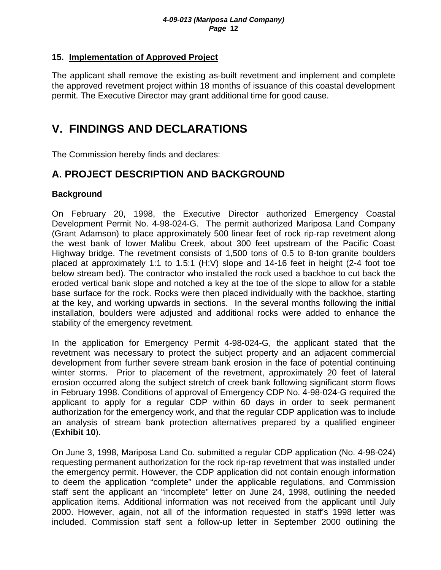## **15. Implementation of Approved Project**

The applicant shall remove the existing as-built revetment and implement and complete the approved revetment project within 18 months of issuance of this coastal development permit. The Executive Director may grant additional time for good cause.

# **V. FINDINGS AND DECLARATIONS**

The Commission hereby finds and declares:

## **A. PROJECT DESCRIPTION AND BACKGROUND**

## **Background**

On February 20, 1998, the Executive Director authorized Emergency Coastal Development Permit No. 4-98-024-G. The permit authorized Mariposa Land Company (Grant Adamson) to place approximately 500 linear feet of rock rip-rap revetment along the west bank of lower Malibu Creek, about 300 feet upstream of the Pacific Coast Highway bridge. The revetment consists of 1,500 tons of 0.5 to 8-ton granite boulders placed at approximately 1:1 to 1.5:1 (H:V) slope and 14-16 feet in height (2-4 foot toe below stream bed). The contractor who installed the rock used a backhoe to cut back the eroded vertical bank slope and notched a key at the toe of the slope to allow for a stable base surface for the rock. Rocks were then placed individually with the backhoe, starting at the key, and working upwards in sections. In the several months following the initial installation, boulders were adjusted and additional rocks were added to enhance the stability of the emergency revetment.

In the application for Emergency Permit 4-98-024-G, the applicant stated that the revetment was necessary to protect the subject property and an adjacent commercial development from further severe stream bank erosion in the face of potential continuing winter storms. Prior to placement of the revetment, approximately 20 feet of lateral erosion occurred along the subject stretch of creek bank following significant storm flows in February 1998. Conditions of approval of Emergency CDP No. 4-98-024-G required the applicant to apply for a regular CDP within 60 days in order to seek permanent authorization for the emergency work, and that the regular CDP application was to include an analysis of stream bank protection alternatives prepared by a qualified engineer (**Exhibit 10**).

On June 3, 1998, Mariposa Land Co. submitted a regular CDP application (No. 4-98-024) requesting permanent authorization for the rock rip-rap revetment that was installed under the emergency permit. However, the CDP application did not contain enough information to deem the application "complete" under the applicable regulations, and Commission staff sent the applicant an "incomplete" letter on June 24, 1998, outlining the needed application items. Additional information was not received from the applicant until July 2000. However, again, not all of the information requested in staff's 1998 letter was included. Commission staff sent a follow-up letter in September 2000 outlining the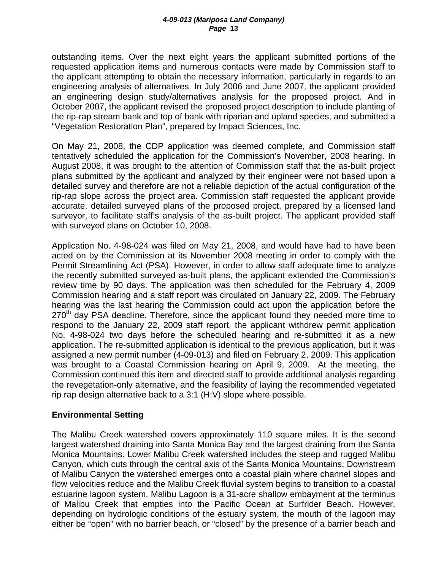outstanding items. Over the next eight years the applicant submitted portions of the requested application items and numerous contacts were made by Commission staff to the applicant attempting to obtain the necessary information, particularly in regards to an engineering analysis of alternatives. In July 2006 and June 2007, the applicant provided an engineering design study/alternatives analysis for the proposed project. And in October 2007, the applicant revised the proposed project description to include planting of the rip-rap stream bank and top of bank with riparian and upland species, and submitted a "Vegetation Restoration Plan", prepared by Impact Sciences, Inc.

On May 21, 2008, the CDP application was deemed complete, and Commission staff tentatively scheduled the application for the Commission's November, 2008 hearing. In August 2008, it was brought to the attention of Commission staff that the as-built project plans submitted by the applicant and analyzed by their engineer were not based upon a detailed survey and therefore are not a reliable depiction of the actual configuration of the rip-rap slope across the project area. Commission staff requested the applicant provide accurate, detailed surveyed plans of the proposed project, prepared by a licensed land surveyor, to facilitate staff's analysis of the as-built project. The applicant provided staff with surveyed plans on October 10, 2008.

Application No. 4-98-024 was filed on May 21, 2008, and would have had to have been acted on by the Commission at its November 2008 meeting in order to comply with the Permit Streamlining Act (PSA). However, in order to allow staff adequate time to analyze the recently submitted surveyed as-built plans, the applicant extended the Commission's review time by 90 days. The application was then scheduled for the February 4, 2009 Commission hearing and a staff report was circulated on January 22, 2009. The February hearing was the last hearing the Commission could act upon the application before the  $270<sup>th</sup>$  day PSA deadline. Therefore, since the applicant found they needed more time to respond to the January 22, 2009 staff report, the applicant withdrew permit application No. 4-98-024 two days before the scheduled hearing and re-submitted it as a new application. The re-submitted application is identical to the previous application, but it was assigned a new permit number (4-09-013) and filed on February 2, 2009. This application was brought to a Coastal Commission hearing on April 9, 2009. At the meeting, the Commission continued this item and directed staff to provide additional analysis regarding the revegetation-only alternative, and the feasibility of laying the recommended vegetated rip rap design alternative back to a 3:1 (H:V) slope where possible.

## **Environmental Setting**

The Malibu Creek watershed covers approximately 110 square miles. It is the second largest watershed draining into Santa Monica Bay and the largest draining from the Santa Monica Mountains. Lower Malibu Creek watershed includes the steep and rugged Malibu Canyon, which cuts through the central axis of the Santa Monica Mountains. Downstream of Malibu Canyon the watershed emerges onto a coastal plain where channel slopes and flow velocities reduce and the Malibu Creek fluvial system begins to transition to a coastal estuarine lagoon system. Malibu Lagoon is a 31-acre shallow embayment at the terminus of Malibu Creek that empties into the Pacific Ocean at Surfrider Beach. However, depending on hydrologic conditions of the estuary system, the mouth of the lagoon may either be "open" with no barrier beach, or "closed" by the presence of a barrier beach and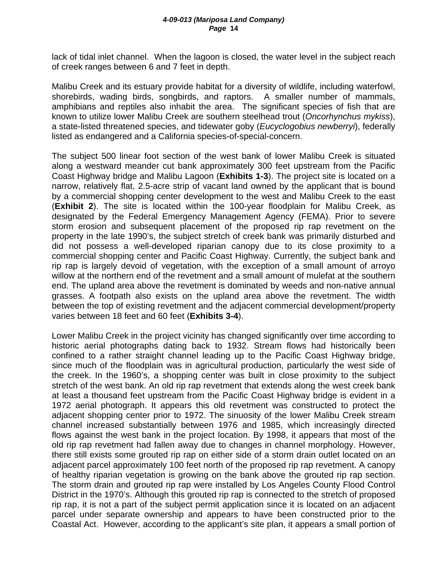lack of tidal inlet channel. When the lagoon is closed, the water level in the subject reach of creek ranges between 6 and 7 feet in depth.

Malibu Creek and its estuary provide habitat for a diversity of wildlife, including waterfowl, shorebirds, wading birds, songbirds, and raptors. A smaller number of mammals, amphibians and reptiles also inhabit the area. The significant species of fish that are known to utilize lower Malibu Creek are southern steelhead trout (*Oncorhynchus mykiss*), a state-listed threatened species, and tidewater goby (*Eucyclogobius newberryi*), federally listed as endangered and a California species-of-special-concern.

The subject 500 linear foot section of the west bank of lower Malibu Creek is situated along a westward meander cut bank approximately 300 feet upstream from the Pacific Coast Highway bridge and Malibu Lagoon (**Exhibits 1-3**). The project site is located on a narrow, relatively flat, 2.5-acre strip of vacant land owned by the applicant that is bound by a commercial shopping center development to the west and Malibu Creek to the east (**Exhibit 2**). The site is located within the 100-year floodplain for Malibu Creek, as designated by the Federal Emergency Management Agency (FEMA). Prior to severe storm erosion and subsequent placement of the proposed rip rap revetment on the property in the late 1990's, the subject stretch of creek bank was primarily disturbed and did not possess a well-developed riparian canopy due to its close proximity to a commercial shopping center and Pacific Coast Highway. Currently, the subject bank and rip rap is largely devoid of vegetation, with the exception of a small amount of arroyo willow at the northern end of the revetment and a small amount of mulefat at the southern end. The upland area above the revetment is dominated by weeds and non-native annual grasses. A footpath also exists on the upland area above the revetment. The width between the top of existing revetment and the adjacent commercial development/property varies between 18 feet and 60 feet (**Exhibits 3-4**).

Lower Malibu Creek in the project vicinity has changed significantly over time according to historic aerial photographs dating back to 1932. Stream flows had historically been confined to a rather straight channel leading up to the Pacific Coast Highway bridge, since much of the floodplain was in agricultural production, particularly the west side of the creek. In the 1960's, a shopping center was built in close proximity to the subject stretch of the west bank. An old rip rap revetment that extends along the west creek bank at least a thousand feet upstream from the Pacific Coast Highway bridge is evident in a 1972 aerial photograph. It appears this old revetment was constructed to protect the adjacent shopping center prior to 1972. The sinuosity of the lower Malibu Creek stream channel increased substantially between 1976 and 1985, which increasingly directed flows against the west bank in the project location. By 1998, it appears that most of the old rip rap revetment had fallen away due to changes in channel morphology. However, there still exists some grouted rip rap on either side of a storm drain outlet located on an adjacent parcel approximately 100 feet north of the proposed rip rap revetment. A canopy of healthy riparian vegetation is growing on the bank above the grouted rip rap section. The storm drain and grouted rip rap were installed by Los Angeles County Flood Control District in the 1970's. Although this grouted rip rap is connected to the stretch of proposed rip rap, it is not a part of the subject permit application since it is located on an adjacent parcel under separate ownership and appears to have been constructed prior to the Coastal Act. However, according to the applicant's site plan, it appears a small portion of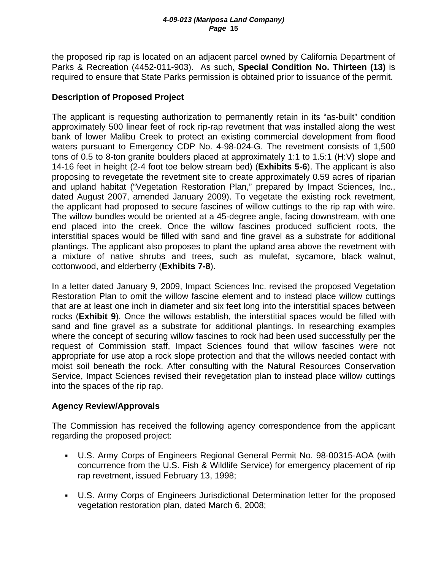the proposed rip rap is located on an adjacent parcel owned by California Department of Parks & Recreation (4452-011-903). As such, **Special Condition No. Thirteen (13)** is required to ensure that State Parks permission is obtained prior to issuance of the permit.

## **Description of Proposed Project**

The applicant is requesting authorization to permanently retain in its "as-built" condition approximately 500 linear feet of rock rip-rap revetment that was installed along the west bank of lower Malibu Creek to protect an existing commercial development from flood waters pursuant to Emergency CDP No. 4-98-024-G. The revetment consists of 1,500 tons of 0.5 to 8-ton granite boulders placed at approximately 1:1 to 1.5:1 (H:V) slope and 14-16 feet in height (2-4 foot toe below stream bed) (**Exhibits 5-6**). The applicant is also proposing to revegetate the revetment site to create approximately 0.59 acres of riparian and upland habitat ("Vegetation Restoration Plan," prepared by Impact Sciences, Inc., dated August 2007, amended January 2009). To vegetate the existing rock revetment, the applicant had proposed to secure fascines of willow cuttings to the rip rap with wire. The willow bundles would be oriented at a 45-degree angle, facing downstream, with one end placed into the creek. Once the willow fascines produced sufficient roots, the interstitial spaces would be filled with sand and fine gravel as a substrate for additional plantings. The applicant also proposes to plant the upland area above the revetment with a mixture of native shrubs and trees, such as mulefat, sycamore, black walnut, cottonwood, and elderberry (**Exhibits 7-8**).

In a letter dated January 9, 2009, Impact Sciences Inc. revised the proposed Vegetation Restoration Plan to omit the willow fascine element and to instead place willow cuttings that are at least one inch in diameter and six feet long into the interstitial spaces between rocks (**Exhibit 9**). Once the willows establish, the interstitial spaces would be filled with sand and fine gravel as a substrate for additional plantings. In researching examples where the concept of securing willow fascines to rock had been used successfully per the request of Commission staff, Impact Sciences found that willow fascines were not appropriate for use atop a rock slope protection and that the willows needed contact with moist soil beneath the rock. After consulting with the Natural Resources Conservation Service, Impact Sciences revised their revegetation plan to instead place willow cuttings into the spaces of the rip rap.

## **Agency Review/Approvals**

The Commission has received the following agency correspondence from the applicant regarding the proposed project:

- U.S. Army Corps of Engineers Regional General Permit No. 98-00315-AOA (with concurrence from the U.S. Fish & Wildlife Service) for emergency placement of rip rap revetment, issued February 13, 1998;
- U.S. Army Corps of Engineers Jurisdictional Determination letter for the proposed vegetation restoration plan, dated March 6, 2008;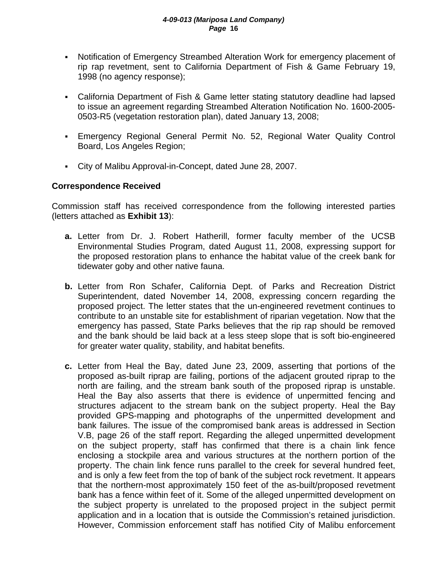- Notification of Emergency Streambed Alteration Work for emergency placement of rip rap revetment, sent to California Department of Fish & Game February 19, 1998 (no agency response);
- California Department of Fish & Game letter stating statutory deadline had lapsed to issue an agreement regarding Streambed Alteration Notification No. 1600-2005- 0503-R5 (vegetation restoration plan), dated January 13, 2008;
- Emergency Regional General Permit No. 52, Regional Water Quality Control Board, Los Angeles Region;
- City of Malibu Approval-in-Concept, dated June 28, 2007.

## **Correspondence Received**

Commission staff has received correspondence from the following interested parties (letters attached as **Exhibit 13**):

- **a.** Letter from Dr. J. Robert Hatherill, former faculty member of the UCSB Environmental Studies Program, dated August 11, 2008, expressing support for the proposed restoration plans to enhance the habitat value of the creek bank for tidewater goby and other native fauna.
- **b.** Letter from Ron Schafer, California Dept. of Parks and Recreation District Superintendent, dated November 14, 2008, expressing concern regarding the proposed project. The letter states that the un-engineered revetment continues to contribute to an unstable site for establishment of riparian vegetation. Now that the emergency has passed, State Parks believes that the rip rap should be removed and the bank should be laid back at a less steep slope that is soft bio-engineered for greater water quality, stability, and habitat benefits.
- **c.** Letter from Heal the Bay, dated June 23, 2009, asserting that portions of the proposed as-built riprap are failing, portions of the adjacent grouted riprap to the north are failing, and the stream bank south of the proposed riprap is unstable. Heal the Bay also asserts that there is evidence of unpermitted fencing and structures adjacent to the stream bank on the subject property. Heal the Bay provided GPS-mapping and photographs of the unpermitted development and bank failures. The issue of the compromised bank areas is addressed in Section V.B, page 26 of the staff report. Regarding the alleged unpermitted development on the subject property, staff has confirmed that there is a chain link fence enclosing a stockpile area and various structures at the northern portion of the property. The chain link fence runs parallel to the creek for several hundred feet, and is only a few feet from the top of bank of the subject rock revetment. It appears that the northern-most approximately 150 feet of the as-built/proposed revetment bank has a fence within feet of it. Some of the alleged unpermitted development on the subject property is unrelated to the proposed project in the subject permit application and in a location that is outside the Commission's retained jurisdiction. However, Commission enforcement staff has notified City of Malibu enforcement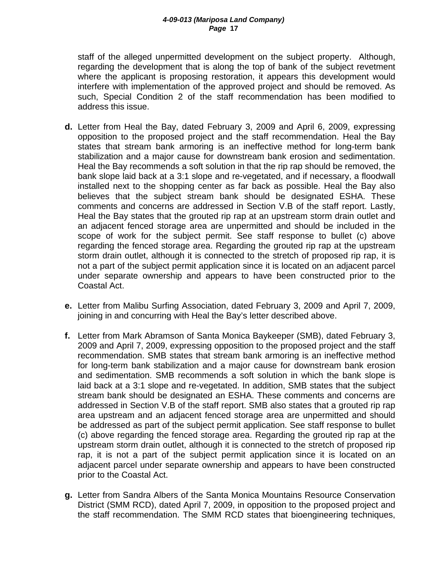staff of the alleged unpermitted development on the subject property. Although, regarding the development that is along the top of bank of the subject revetment where the applicant is proposing restoration, it appears this development would interfere with implementation of the approved project and should be removed. As such, Special Condition 2 of the staff recommendation has been modified to address this issue.

- **d.** Letter from Heal the Bay, dated February 3, 2009 and April 6, 2009, expressing opposition to the proposed project and the staff recommendation. Heal the Bay states that stream bank armoring is an ineffective method for long-term bank stabilization and a major cause for downstream bank erosion and sedimentation. Heal the Bay recommends a soft solution in that the rip rap should be removed, the bank slope laid back at a 3:1 slope and re-vegetated, and if necessary, a floodwall installed next to the shopping center as far back as possible. Heal the Bay also believes that the subject stream bank should be designated ESHA. These comments and concerns are addressed in Section V.B of the staff report. Lastly, Heal the Bay states that the grouted rip rap at an upstream storm drain outlet and an adjacent fenced storage area are unpermitted and should be included in the scope of work for the subject permit. See staff response to bullet (c) above regarding the fenced storage area. Regarding the grouted rip rap at the upstream storm drain outlet, although it is connected to the stretch of proposed rip rap, it is not a part of the subject permit application since it is located on an adjacent parcel under separate ownership and appears to have been constructed prior to the Coastal Act.
- **e.** Letter from Malibu Surfing Association, dated February 3, 2009 and April 7, 2009, joining in and concurring with Heal the Bay's letter described above.
- **f.** Letter from Mark Abramson of Santa Monica Baykeeper (SMB), dated February 3, 2009 and April 7, 2009, expressing opposition to the proposed project and the staff recommendation. SMB states that stream bank armoring is an ineffective method for long-term bank stabilization and a major cause for downstream bank erosion and sedimentation. SMB recommends a soft solution in which the bank slope is laid back at a 3:1 slope and re-vegetated. In addition, SMB states that the subject stream bank should be designated an ESHA. These comments and concerns are addressed in Section V.B of the staff report. SMB also states that a grouted rip rap area upstream and an adjacent fenced storage area are unpermitted and should be addressed as part of the subject permit application. See staff response to bullet (c) above regarding the fenced storage area. Regarding the grouted rip rap at the upstream storm drain outlet, although it is connected to the stretch of proposed rip rap, it is not a part of the subject permit application since it is located on an adjacent parcel under separate ownership and appears to have been constructed prior to the Coastal Act.
- **g.** Letter from Sandra Albers of the Santa Monica Mountains Resource Conservation District (SMM RCD), dated April 7, 2009, in opposition to the proposed project and the staff recommendation. The SMM RCD states that bioengineering techniques,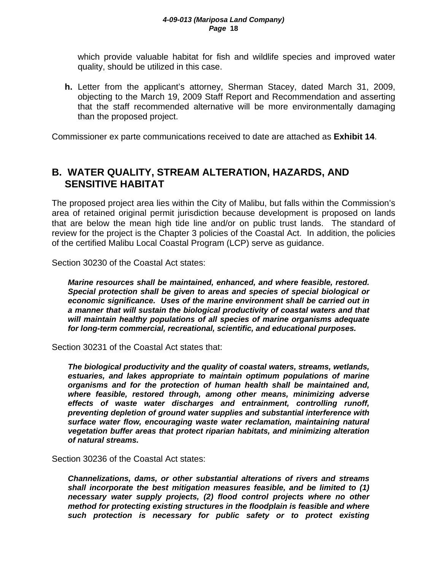which provide valuable habitat for fish and wildlife species and improved water quality, should be utilized in this case.

**h.** Letter from the applicant's attorney, Sherman Stacey, dated March 31, 2009, objecting to the March 19, 2009 Staff Report and Recommendation and asserting that the staff recommended alternative will be more environmentally damaging than the proposed project.

Commissioner ex parte communications received to date are attached as **Exhibit 14**.

## **B. WATER QUALITY, STREAM ALTERATION, HAZARDS, AND SENSITIVE HABITAT**

The proposed project area lies within the City of Malibu, but falls within the Commission's area of retained original permit jurisdiction because development is proposed on lands that are below the mean high tide line and/or on public trust lands. The standard of review for the project is the Chapter 3 policies of the Coastal Act. In addition, the policies of the certified Malibu Local Coastal Program (LCP) serve as guidance.

Section 30230 of the Coastal Act states:

*Marine resources shall be maintained, enhanced, and where feasible, restored. Special protection shall be given to areas and species of special biological or economic significance. Uses of the marine environment shall be carried out in a manner that will sustain the biological productivity of coastal waters and that will maintain healthy populations of all species of marine organisms adequate for long-term commercial, recreational, scientific, and educational purposes.* 

Section 30231 of the Coastal Act states that:

*The biological productivity and the quality of coastal waters, streams, wetlands, estuaries, and lakes appropriate to maintain optimum populations of marine organisms and for the protection of human health shall be maintained and, where feasible, restored through, among other means, minimizing adverse effects of waste water discharges and entrainment, controlling runoff, preventing depletion of ground water supplies and substantial interference with surface water flow, encouraging waste water reclamation, maintaining natural vegetation buffer areas that protect riparian habitats, and minimizing alteration of natural streams.* 

Section 30236 of the Coastal Act states:

*Channelizations, dams, or other substantial alterations of rivers and streams shall incorporate the best mitigation measures feasible, and be limited to (1) necessary water supply projects, (2) flood control projects where no other method for protecting existing structures in the floodplain is feasible and where such protection is necessary for public safety or to protect existing*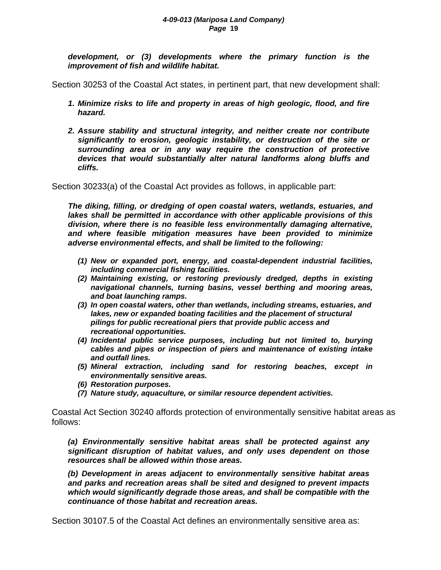*development, or (3) developments where the primary function is the improvement of fish and wildlife habitat.* 

Section 30253 of the Coastal Act states, in pertinent part, that new development shall:

- *1. Minimize risks to life and property in areas of high geologic, flood, and fire hazard.*
- *2. Assure stability and structural integrity, and neither create nor contribute significantly to erosion, geologic instability, or destruction of the site or surrounding area or in any way require the construction of protective devices that would substantially alter natural landforms along bluffs and cliffs.*

Section 30233(a) of the Coastal Act provides as follows, in applicable part:

*The diking, filling, or dredging of open coastal waters, wetlands, estuaries, and lakes shall be permitted in accordance with other applicable provisions of this division, where there is no feasible less environmentally damaging alternative, and where feasible mitigation measures have been provided to minimize adverse environmental effects, and shall be limited to the following:* 

- *(1) New or expanded port, energy, and coastal-dependent industrial facilities, including commercial fishing facilities.*
- *(2) Maintaining existing, or restoring previously dredged, depths in existing navigational channels, turning basins, vessel berthing and mooring areas, and boat launching ramps.*
- *(3) In open coastal waters, other than wetlands, including streams, estuaries, and lakes, new or expanded boating facilities and the placement of structural pilings for public recreational piers that provide public access and recreational opportunities.*
- *(4) Incidental public service purposes, including but not limited to, burying cables and pipes or inspection of piers and maintenance of existing intake and outfall lines.*
- *(5) Mineral extraction, including sand for restoring beaches, except in environmentally sensitive areas.*
- *(6) Restoration purposes.*
- *(7) Nature study, aquaculture, or similar resource dependent activities.*

Coastal Act Section 30240 affords protection of environmentally sensitive habitat areas as follows:

*(a) Environmentally sensitive habitat areas shall be protected against any significant disruption of habitat values, and only uses dependent on those resources shall be allowed within those areas.* 

*(b) Development in areas adjacent to environmentally sensitive habitat areas and parks and recreation areas shall be sited and designed to prevent impacts which would significantly degrade those areas, and shall be compatible with the continuance of those habitat and recreation areas.* 

Section 30107.5 of the Coastal Act defines an environmentally sensitive area as: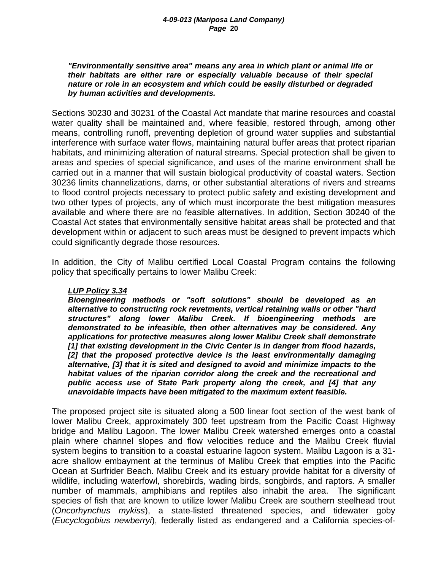#### *"Environmentally sensitive area" means any area in which plant or animal life or their habitats are either rare or especially valuable because of their special nature or role in an ecosystem and which could be easily disturbed or degraded by human activities and developments.*

Sections 30230 and 30231 of the Coastal Act mandate that marine resources and coastal water quality shall be maintained and, where feasible, restored through, among other means, controlling runoff, preventing depletion of ground water supplies and substantial interference with surface water flows, maintaining natural buffer areas that protect riparian habitats, and minimizing alteration of natural streams. Special protection shall be given to areas and species of special significance, and uses of the marine environment shall be carried out in a manner that will sustain biological productivity of coastal waters. Section 30236 limits channelizations, dams, or other substantial alterations of rivers and streams to flood control projects necessary to protect public safety and existing development and two other types of projects, any of which must incorporate the best mitigation measures available and where there are no feasible alternatives. In addition, Section 30240 of the Coastal Act states that environmentally sensitive habitat areas shall be protected and that development within or adjacent to such areas must be designed to prevent impacts which could significantly degrade those resources.

In addition, the City of Malibu certified Local Coastal Program contains the following policy that specifically pertains to lower Malibu Creek:

#### *LUP Policy 3.34*

*Bioengineering methods or "soft solutions" should be developed as an alternative to constructing rock revetments, vertical retaining walls or other "hard structures" along lower Malibu Creek. If bioengineering methods are demonstrated to be infeasible, then other alternatives may be considered. Any applications for protective measures along lower Malibu Creek shall demonstrate [1] that existing development in the Civic Center is in danger from flood hazards, [2] that the proposed protective device is the least environmentally damaging alternative, [3] that it is sited and designed to avoid and minimize impacts to the habitat values of the riparian corridor along the creek and the recreational and public access use of State Park property along the creek, and [4] that any unavoidable impacts have been mitigated to the maximum extent feasible.* 

The proposed project site is situated along a 500 linear foot section of the west bank of lower Malibu Creek, approximately 300 feet upstream from the Pacific Coast Highway bridge and Malibu Lagoon. The lower Malibu Creek watershed emerges onto a coastal plain where channel slopes and flow velocities reduce and the Malibu Creek fluvial system begins to transition to a coastal estuarine lagoon system. Malibu Lagoon is a 31 acre shallow embayment at the terminus of Malibu Creek that empties into the Pacific Ocean at Surfrider Beach. Malibu Creek and its estuary provide habitat for a diversity of wildlife, including waterfowl, shorebirds, wading birds, songbirds, and raptors. A smaller number of mammals, amphibians and reptiles also inhabit the area. The significant species of fish that are known to utilize lower Malibu Creek are southern steelhead trout (*Oncorhynchus mykiss*), a state-listed threatened species, and tidewater goby (*Eucyclogobius newberryi*), federally listed as endangered and a California species-of-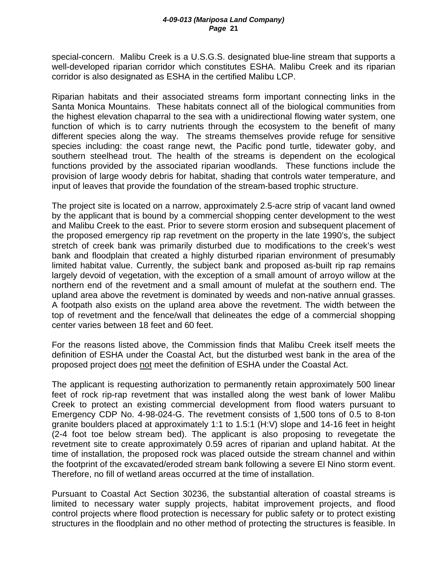special-concern. Malibu Creek is a U.S.G.S. designated blue-line stream that supports a well-developed riparian corridor which constitutes ESHA. Malibu Creek and its riparian corridor is also designated as ESHA in the certified Malibu LCP.

Riparian habitats and their associated streams form important connecting links in the Santa Monica Mountains. These habitats connect all of the biological communities from the highest elevation chaparral to the sea with a unidirectional flowing water system, one function of which is to carry nutrients through the ecosystem to the benefit of many different species along the way. The streams themselves provide refuge for sensitive species including: the coast range newt, the Pacific pond turtle, tidewater goby, and southern steelhead trout. The health of the streams is dependent on the ecological functions provided by the associated riparian woodlands. These functions include the provision of large woody debris for habitat, shading that controls water temperature, and input of leaves that provide the foundation of the stream-based trophic structure.

The project site is located on a narrow, approximately 2.5-acre strip of vacant land owned by the applicant that is bound by a commercial shopping center development to the west and Malibu Creek to the east. Prior to severe storm erosion and subsequent placement of the proposed emergency rip rap revetment on the property in the late 1990's, the subject stretch of creek bank was primarily disturbed due to modifications to the creek's west bank and floodplain that created a highly disturbed riparian environment of presumably limited habitat value. Currently, the subject bank and proposed as-built rip rap remains largely devoid of vegetation, with the exception of a small amount of arroyo willow at the northern end of the revetment and a small amount of mulefat at the southern end. The upland area above the revetment is dominated by weeds and non-native annual grasses. A footpath also exists on the upland area above the revetment. The width between the top of revetment and the fence/wall that delineates the edge of a commercial shopping center varies between 18 feet and 60 feet.

For the reasons listed above, the Commission finds that Malibu Creek itself meets the definition of ESHA under the Coastal Act, but the disturbed west bank in the area of the proposed project does not meet the definition of ESHA under the Coastal Act.

The applicant is requesting authorization to permanently retain approximately 500 linear feet of rock rip-rap revetment that was installed along the west bank of lower Malibu Creek to protect an existing commercial development from flood waters pursuant to Emergency CDP No. 4-98-024-G. The revetment consists of 1,500 tons of 0.5 to 8-ton granite boulders placed at approximately 1:1 to 1.5:1 (H:V) slope and 14-16 feet in height (2-4 foot toe below stream bed). The applicant is also proposing to revegetate the revetment site to create approximately 0.59 acres of riparian and upland habitat. At the time of installation, the proposed rock was placed outside the stream channel and within the footprint of the excavated/eroded stream bank following a severe El Nino storm event. Therefore, no fill of wetland areas occurred at the time of installation.

Pursuant to Coastal Act Section 30236, the substantial alteration of coastal streams is limited to necessary water supply projects, habitat improvement projects, and flood control projects where flood protection is necessary for public safety or to protect existing structures in the floodplain and no other method of protecting the structures is feasible. In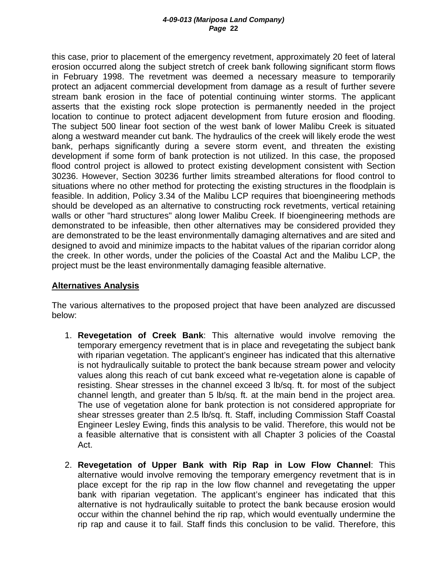this case, prior to placement of the emergency revetment, approximately 20 feet of lateral erosion occurred along the subject stretch of creek bank following significant storm flows in February 1998. The revetment was deemed a necessary measure to temporarily protect an adjacent commercial development from damage as a result of further severe stream bank erosion in the face of potential continuing winter storms. The applicant asserts that the existing rock slope protection is permanently needed in the project location to continue to protect adjacent development from future erosion and flooding. The subject 500 linear foot section of the west bank of lower Malibu Creek is situated along a westward meander cut bank. The hydraulics of the creek will likely erode the west bank, perhaps significantly during a severe storm event, and threaten the existing development if some form of bank protection is not utilized. In this case, the proposed flood control project is allowed to protect existing development consistent with Section 30236. However, Section 30236 further limits streambed alterations for flood control to situations where no other method for protecting the existing structures in the floodplain is feasible. In addition, Policy 3.34 of the Malibu LCP requires that bioengineering methods should be developed as an alternative to constructing rock revetments, vertical retaining walls or other "hard structures" along lower Malibu Creek. If bioengineering methods are demonstrated to be infeasible, then other alternatives may be considered provided they are demonstrated to be the least environmentally damaging alternatives and are sited and designed to avoid and minimize impacts to the habitat values of the riparian corridor along the creek. In other words, under the policies of the Coastal Act and the Malibu LCP, the project must be the least environmentally damaging feasible alternative.

#### **Alternatives Analysis**

The various alternatives to the proposed project that have been analyzed are discussed below:

- 1. **Revegetation of Creek Bank**: This alternative would involve removing the temporary emergency revetment that is in place and revegetating the subject bank with riparian vegetation. The applicant's engineer has indicated that this alternative is not hydraulically suitable to protect the bank because stream power and velocity values along this reach of cut bank exceed what re-vegetation alone is capable of resisting. Shear stresses in the channel exceed 3 lb/sq. ft. for most of the subject channel length, and greater than 5 lb/sq. ft. at the main bend in the project area. The use of vegetation alone for bank protection is not considered appropriate for shear stresses greater than 2.5 lb/sq. ft. Staff, including Commission Staff Coastal Engineer Lesley Ewing, finds this analysis to be valid. Therefore, this would not be a feasible alternative that is consistent with all Chapter 3 policies of the Coastal Act.
- 2. **Revegetation of Upper Bank with Rip Rap in Low Flow Channel**: This alternative would involve removing the temporary emergency revetment that is in place except for the rip rap in the low flow channel and revegetating the upper bank with riparian vegetation. The applicant's engineer has indicated that this alternative is not hydraulically suitable to protect the bank because erosion would occur within the channel behind the rip rap, which would eventually undermine the rip rap and cause it to fail. Staff finds this conclusion to be valid. Therefore, this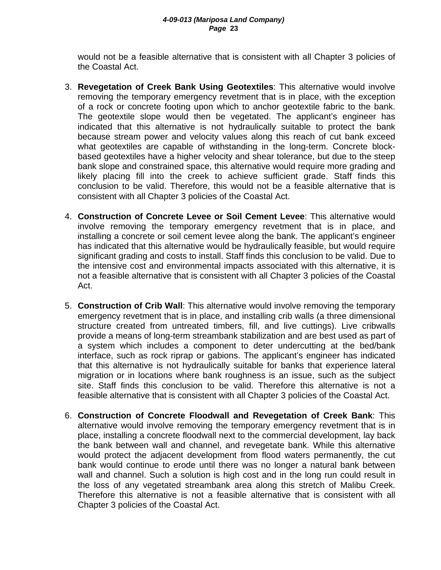would not be a feasible alternative that is consistent with all Chapter 3 policies of the Coastal Act.

- 3. **Revegetation of Creek Bank Using Geotextiles**: This alternative would involve removing the temporary emergency revetment that is in place, with the exception of a rock or concrete footing upon which to anchor geotextile fabric to the bank. The geotextile slope would then be vegetated. The applicant's engineer has indicated that this alternative is not hydraulically suitable to protect the bank because stream power and velocity values along this reach of cut bank exceed what geotextiles are capable of withstanding in the long-term. Concrete blockbased geotextiles have a higher velocity and shear tolerance, but due to the steep bank slope and constrained space, this alternative would require more grading and likely placing fill into the creek to achieve sufficient grade. Staff finds this conclusion to be valid. Therefore, this would not be a feasible alternative that is consistent with all Chapter 3 policies of the Coastal Act.
- 4. **Construction of Concrete Levee or Soil Cement Levee**: This alternative would involve removing the temporary emergency revetment that is in place, and installing a concrete or soil cement levee along the bank. The applicant's engineer has indicated that this alternative would be hydraulically feasible, but would require significant grading and costs to install. Staff finds this conclusion to be valid. Due to the intensive cost and environmental impacts associated with this alternative, it is not a feasible alternative that is consistent with all Chapter 3 policies of the Coastal Act.
- 5. **Construction of Crib Wall**: This alternative would involve removing the temporary emergency revetment that is in place, and installing crib walls (a three dimensional structure created from untreated timbers, fill, and live cuttings). Live cribwalls provide a means of long-term streambank stabilization and are best used as part of a system which includes a component to deter undercutting at the bed/bank interface, such as rock riprap or gabions. The applicant's engineer has indicated that this alternative is not hydraulically suitable for banks that experience lateral migration or in locations where bank roughness is an issue, such as the subject site. Staff finds this conclusion to be valid. Therefore this alternative is not a feasible alternative that is consistent with all Chapter 3 policies of the Coastal Act.
- 6. **Construction of Concrete Floodwall and Revegetation of Creek Bank**: This alternative would involve removing the temporary emergency revetment that is in place, installing a concrete floodwall next to the commercial development, lay back the bank between wall and channel, and revegetate bank. While this alternative would protect the adjacent development from flood waters permanently, the cut bank would continue to erode until there was no longer a natural bank between wall and channel. Such a solution is high cost and in the long run could result in the loss of any vegetated streambank area along this stretch of Malibu Creek. Therefore this alternative is not a feasible alternative that is consistent with all Chapter 3 policies of the Coastal Act.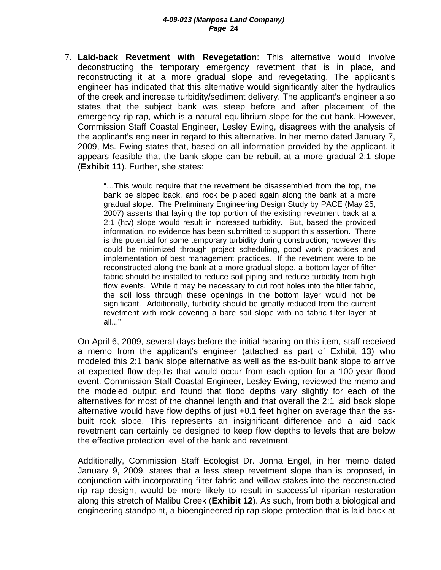7. **Laid-back Revetment with Revegetation**: This alternative would involve deconstructing the temporary emergency revetment that is in place, and reconstructing it at a more gradual slope and revegetating. The applicant's engineer has indicated that this alternative would significantly alter the hydraulics of the creek and increase turbidity/sediment delivery. The applicant's engineer also states that the subject bank was steep before and after placement of the emergency rip rap, which is a natural equilibrium slope for the cut bank. However, Commission Staff Coastal Engineer, Lesley Ewing, disagrees with the analysis of the applicant's engineer in regard to this alternative. In her memo dated January 7, 2009, Ms. Ewing states that, based on all information provided by the applicant, it appears feasible that the bank slope can be rebuilt at a more gradual 2:1 slope (**Exhibit 11**). Further, she states:

> "…This would require that the revetment be disassembled from the top, the bank be sloped back, and rock be placed again along the bank at a more gradual slope. The Preliminary Engineering Design Study by PACE (May 25, 2007) asserts that laying the top portion of the existing revetment back at a 2:1 (h:v) slope would result in increased turbidity. But, based the provided information, no evidence has been submitted to support this assertion. There is the potential for some temporary turbidity during construction; however this could be minimized through project scheduling, good work practices and implementation of best management practices. If the revetment were to be reconstructed along the bank at a more gradual slope, a bottom layer of filter fabric should be installed to reduce soil piping and reduce turbidity from high flow events. While it may be necessary to cut root holes into the filter fabric, the soil loss through these openings in the bottom layer would not be significant. Additionally, turbidity should be greatly reduced from the current revetment with rock covering a bare soil slope with no fabric filter layer at all..."

On April 6, 2009, several days before the initial hearing on this item, staff received a memo from the applicant's engineer (attached as part of Exhibit 13) who modeled this 2:1 bank slope alternative as well as the as-built bank slope to arrive at expected flow depths that would occur from each option for a 100-year flood event. Commission Staff Coastal Engineer, Lesley Ewing, reviewed the memo and the modeled output and found that flood depths vary slightly for each of the alternatives for most of the channel length and that overall the 2:1 laid back slope alternative would have flow depths of just +0.1 feet higher on average than the asbuilt rock slope. This represents an insignificant difference and a laid back revetment can certainly be designed to keep flow depths to levels that are below the effective protection level of the bank and revetment.

Additionally, Commission Staff Ecologist Dr. Jonna Engel, in her memo dated January 9, 2009, states that a less steep revetment slope than is proposed, in conjunction with incorporating filter fabric and willow stakes into the reconstructed rip rap design, would be more likely to result in successful riparian restoration along this stretch of Malibu Creek (**Exhibit 12**). As such, from both a biological and engineering standpoint, a bioengineered rip rap slope protection that is laid back at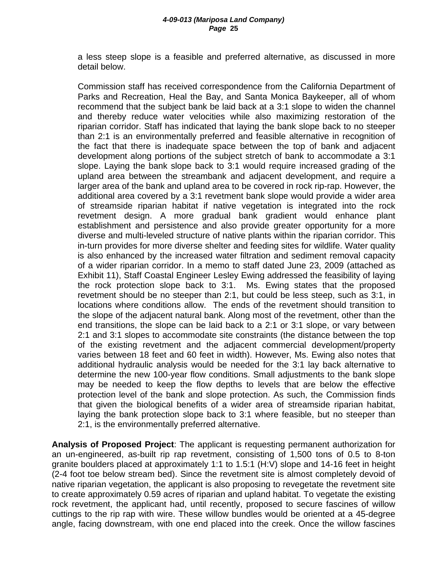a less steep slope is a feasible and preferred alternative, as discussed in more detail below.

Commission staff has received correspondence from the California Department of Parks and Recreation, Heal the Bay, and Santa Monica Baykeeper, all of whom recommend that the subject bank be laid back at a 3:1 slope to widen the channel and thereby reduce water velocities while also maximizing restoration of the riparian corridor. Staff has indicated that laying the bank slope back to no steeper than 2:1 is an environmentally preferred and feasible alternative in recognition of the fact that there is inadequate space between the top of bank and adjacent development along portions of the subject stretch of bank to accommodate a 3:1 slope. Laying the bank slope back to 3:1 would require increased grading of the upland area between the streambank and adjacent development, and require a larger area of the bank and upland area to be covered in rock rip-rap. However, the additional area covered by a 3:1 revetment bank slope would provide a wider area of streamside riparian habitat if native vegetation is integrated into the rock revetment design. A more gradual bank gradient would enhance plant establishment and persistence and also provide greater opportunity for a more diverse and multi-leveled structure of native plants within the riparian corridor. This in-turn provides for more diverse shelter and feeding sites for wildlife. Water quality is also enhanced by the increased water filtration and sediment removal capacity of a wider riparian corridor. In a memo to staff dated June 23, 2009 (attached as Exhibit 11), Staff Coastal Engineer Lesley Ewing addressed the feasibility of laying the rock protection slope back to 3:1. Ms. Ewing states that the proposed revetment should be no steeper than 2:1, but could be less steep, such as 3:1, in locations where conditions allow. The ends of the revetment should transition to the slope of the adjacent natural bank. Along most of the revetment, other than the end transitions, the slope can be laid back to a 2:1 or 3:1 slope, or vary between 2:1 and 3:1 slopes to accommodate site constraints (the distance between the top of the existing revetment and the adjacent commercial development/property varies between 18 feet and 60 feet in width). However, Ms. Ewing also notes that additional hydraulic analysis would be needed for the 3:1 lay back alternative to determine the new 100-year flow conditions. Small adjustments to the bank slope may be needed to keep the flow depths to levels that are below the effective protection level of the bank and slope protection. As such, the Commission finds that given the biological benefits of a wider area of streamside riparian habitat, laying the bank protection slope back to 3:1 where feasible, but no steeper than 2:1, is the environmentally preferred alternative.

**Analysis of Proposed Project**: The applicant is requesting permanent authorization for an un-engineered, as-built rip rap revetment, consisting of 1,500 tons of 0.5 to 8-ton granite boulders placed at approximately 1:1 to 1.5:1 (H:V) slope and 14-16 feet in height (2-4 foot toe below stream bed). Since the revetment site is almost completely devoid of native riparian vegetation, the applicant is also proposing to revegetate the revetment site to create approximately 0.59 acres of riparian and upland habitat. To vegetate the existing rock revetment, the applicant had, until recently, proposed to secure fascines of willow cuttings to the rip rap with wire. These willow bundles would be oriented at a 45-degree angle, facing downstream, with one end placed into the creek. Once the willow fascines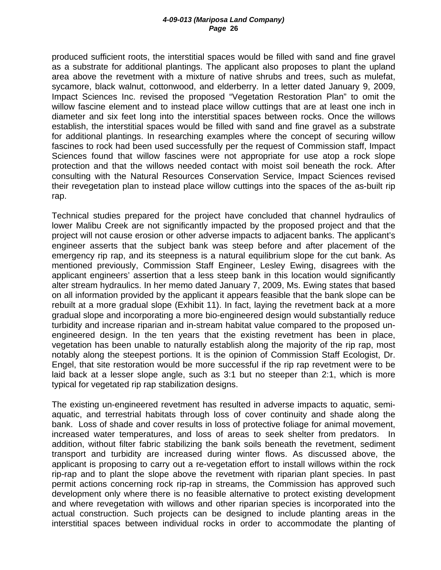produced sufficient roots, the interstitial spaces would be filled with sand and fine gravel as a substrate for additional plantings. The applicant also proposes to plant the upland area above the revetment with a mixture of native shrubs and trees, such as mulefat, sycamore, black walnut, cottonwood, and elderberry. In a letter dated January 9, 2009, Impact Sciences Inc. revised the proposed "Vegetation Restoration Plan" to omit the willow fascine element and to instead place willow cuttings that are at least one inch in diameter and six feet long into the interstitial spaces between rocks. Once the willows establish, the interstitial spaces would be filled with sand and fine gravel as a substrate for additional plantings. In researching examples where the concept of securing willow fascines to rock had been used successfully per the request of Commission staff, Impact Sciences found that willow fascines were not appropriate for use atop a rock slope protection and that the willows needed contact with moist soil beneath the rock. After consulting with the Natural Resources Conservation Service, Impact Sciences revised their revegetation plan to instead place willow cuttings into the spaces of the as-built rip rap.

Technical studies prepared for the project have concluded that channel hydraulics of lower Malibu Creek are not significantly impacted by the proposed project and that the project will not cause erosion or other adverse impacts to adjacent banks. The applicant's engineer asserts that the subject bank was steep before and after placement of the emergency rip rap, and its steepness is a natural equilibrium slope for the cut bank. As mentioned previously, Commission Staff Engineer, Lesley Ewing, disagrees with the applicant engineers' assertion that a less steep bank in this location would significantly alter stream hydraulics. In her memo dated January 7, 2009, Ms. Ewing states that based on all information provided by the applicant it appears feasible that the bank slope can be rebuilt at a more gradual slope (Exhibit 11). In fact, laying the revetment back at a more gradual slope and incorporating a more bio-engineered design would substantially reduce turbidity and increase riparian and in-stream habitat value compared to the proposed unengineered design. In the ten years that the existing revetment has been in place, vegetation has been unable to naturally establish along the majority of the rip rap, most notably along the steepest portions. It is the opinion of Commission Staff Ecologist, Dr. Engel, that site restoration would be more successful if the rip rap revetment were to be laid back at a lesser slope angle, such as 3:1 but no steeper than 2:1, which is more typical for vegetated rip rap stabilization designs.

The existing un-engineered revetment has resulted in adverse impacts to aquatic, semiaquatic, and terrestrial habitats through loss of cover continuity and shade along the bank. Loss of shade and cover results in loss of protective foliage for animal movement, increased water temperatures, and loss of areas to seek shelter from predators. In addition, without filter fabric stabilizing the bank soils beneath the revetment, sediment transport and turbidity are increased during winter flows. As discussed above, the applicant is proposing to carry out a re-vegetation effort to install willows within the rock rip-rap and to plant the slope above the revetment with riparian plant species. In past permit actions concerning rock rip-rap in streams, the Commission has approved such development only where there is no feasible alternative to protect existing development and where revegetation with willows and other riparian species is incorporated into the actual construction. Such projects can be designed to include planting areas in the interstitial spaces between individual rocks in order to accommodate the planting of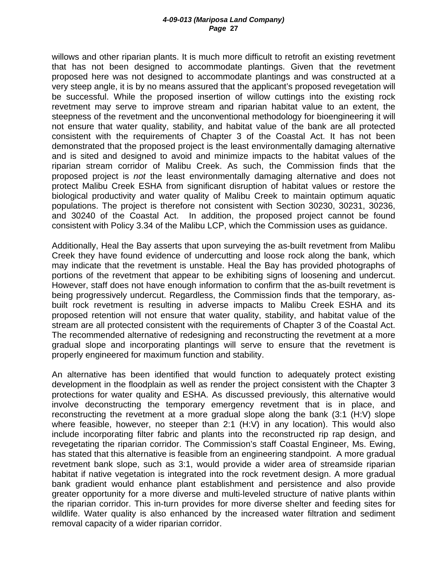willows and other riparian plants. It is much more difficult to retrofit an existing revetment that has not been designed to accommodate plantings. Given that the revetment proposed here was not designed to accommodate plantings and was constructed at a very steep angle, it is by no means assured that the applicant's proposed revegetation will be successful. While the proposed insertion of willow cuttings into the existing rock revetment may serve to improve stream and riparian habitat value to an extent, the steepness of the revetment and the unconventional methodology for bioengineering it will not ensure that water quality, stability, and habitat value of the bank are all protected consistent with the requirements of Chapter 3 of the Coastal Act. It has not been demonstrated that the proposed project is the least environmentally damaging alternative and is sited and designed to avoid and minimize impacts to the habitat values of the riparian stream corridor of Malibu Creek. As such, the Commission finds that the proposed project is *not* the least environmentally damaging alternative and does not protect Malibu Creek ESHA from significant disruption of habitat values or restore the biological productivity and water quality of Malibu Creek to maintain optimum aquatic populations. The project is therefore not consistent with Section 30230, 30231, 30236, and 30240 of the Coastal Act. In addition, the proposed project cannot be found consistent with Policy 3.34 of the Malibu LCP, which the Commission uses as guidance.

Additionally, Heal the Bay asserts that upon surveying the as-built revetment from Malibu Creek they have found evidence of undercutting and loose rock along the bank, which may indicate that the revetment is unstable. Heal the Bay has provided photographs of portions of the revetment that appear to be exhibiting signs of loosening and undercut. However, staff does not have enough information to confirm that the as-built revetment is being progressively undercut. Regardless, the Commission finds that the temporary, asbuilt rock revetment is resulting in adverse impacts to Malibu Creek ESHA and its proposed retention will not ensure that water quality, stability, and habitat value of the stream are all protected consistent with the requirements of Chapter 3 of the Coastal Act. The recommended alternative of redesigning and reconstructing the revetment at a more gradual slope and incorporating plantings will serve to ensure that the revetment is properly engineered for maximum function and stability.

An alternative has been identified that would function to adequately protect existing development in the floodplain as well as render the project consistent with the Chapter 3 protections for water quality and ESHA. As discussed previously, this alternative would involve deconstructing the temporary emergency revetment that is in place, and reconstructing the revetment at a more gradual slope along the bank (3:1 (H:V) slope where feasible, however, no steeper than 2:1 (H:V) in any location). This would also include incorporating filter fabric and plants into the reconstructed rip rap design, and revegetating the riparian corridor. The Commission's staff Coastal Engineer, Ms. Ewing, has stated that this alternative is feasible from an engineering standpoint. A more gradual revetment bank slope, such as 3:1, would provide a wider area of streamside riparian habitat if native vegetation is integrated into the rock revetment design. A more gradual bank gradient would enhance plant establishment and persistence and also provide greater opportunity for a more diverse and multi-leveled structure of native plants within the riparian corridor. This in-turn provides for more diverse shelter and feeding sites for wildlife. Water quality is also enhanced by the increased water filtration and sediment removal capacity of a wider riparian corridor.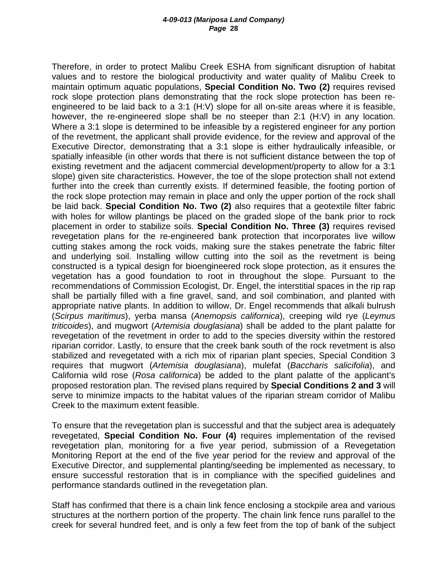Therefore, in order to protect Malibu Creek ESHA from significant disruption of habitat values and to restore the biological productivity and water quality of Malibu Creek to maintain optimum aquatic populations, **Special Condition No. Two (2)** requires revised rock slope protection plans demonstrating that the rock slope protection has been reengineered to be laid back to a 3:1 (H:V) slope for all on-site areas where it is feasible, however, the re-engineered slope shall be no steeper than 2:1 (H:V) in any location. Where a 3:1 slope is determined to be infeasible by a registered engineer for any portion of the revetment, the applicant shall provide evidence, for the review and approval of the Executive Director, demonstrating that a 3:1 slope is either hydraulically infeasible, or spatially infeasible (in other words that there is not sufficient distance between the top of existing revetment and the adjacent commercial development/property to allow for a 3:1 slope) given site characteristics. However, the toe of the slope protection shall not extend further into the creek than currently exists. If determined feasible, the footing portion of the rock slope protection may remain in place and only the upper portion of the rock shall be laid back. **Special Condition No. Two (2)** also requires that a geotextile filter fabric with holes for willow plantings be placed on the graded slope of the bank prior to rock placement in order to stabilize soils. **Special Condition No. Three (3)** requires revised revegetation plans for the re-engineered bank protection that incorporates live willow cutting stakes among the rock voids, making sure the stakes penetrate the fabric filter and underlying soil. Installing willow cutting into the soil as the revetment is being constructed is a typical design for bioengineered rock slope protection, as it ensures the vegetation has a good foundation to root in throughout the slope. Pursuant to the recommendations of Commission Ecologist, Dr. Engel, the interstitial spaces in the rip rap shall be partially filled with a fine gravel, sand, and soil combination, and planted with appropriate native plants. In addition to willow, Dr. Engel recommends that alkali bulrush (*Scirpus maritimus*), yerba mansa (*Anemopsis californica*), creeping wild rye (*Leymus triticoides*), and mugwort (*Artemisia douglasiana*) shall be added to the plant palatte for revegetation of the revetment in order to add to the species diversity within the restored riparian corridor. Lastly, to ensure that the creek bank south of the rock revetment is also stabilized and revegetated with a rich mix of riparian plant species, Special Condition 3 requires that mugwort (*Artemisia douglasiana*), mulefat (*Baccharis salicifolia*), and California wild rose (*Rosa californica*) be added to the plant palatte of the applicant's proposed restoration plan. The revised plans required by **Special Conditions 2 and 3** will serve to minimize impacts to the habitat values of the riparian stream corridor of Malibu Creek to the maximum extent feasible.

To ensure that the revegetation plan is successful and that the subject area is adequately revegetated, **Special Condition No. Four (4)** requires implementation of the revised revegetation plan, monitoring for a five year period, submission of a Revegetation Monitoring Report at the end of the five year period for the review and approval of the Executive Director, and supplemental planting/seeding be implemented as necessary, to ensure successful restoration that is in compliance with the specified guidelines and performance standards outlined in the revegetation plan.

Staff has confirmed that there is a chain link fence enclosing a stockpile area and various structures at the northern portion of the property. The chain link fence runs parallel to the creek for several hundred feet, and is only a few feet from the top of bank of the subject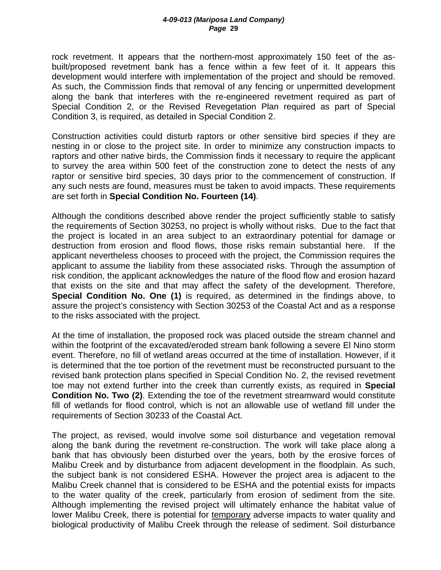rock revetment. It appears that the northern-most approximately 150 feet of the asbuilt/proposed revetment bank has a fence within a few feet of it. It appears this development would interfere with implementation of the project and should be removed. As such, the Commission finds that removal of any fencing or unpermitted development along the bank that interferes with the re-engineered revetment required as part of Special Condition 2, or the Revised Revegetation Plan required as part of Special Condition 3, is required, as detailed in Special Condition 2.

Construction activities could disturb raptors or other sensitive bird species if they are nesting in or close to the project site. In order to minimize any construction impacts to raptors and other native birds, the Commission finds it necessary to require the applicant to survey the area within 500 feet of the construction zone to detect the nests of any raptor or sensitive bird species, 30 days prior to the commencement of construction. If any such nests are found, measures must be taken to avoid impacts. These requirements are set forth in **Special Condition No. Fourteen (14)**.

Although the conditions described above render the project sufficiently stable to satisfy the requirements of Section 30253, no project is wholly without risks. Due to the fact that the project is located in an area subject to an extraordinary potential for damage or destruction from erosion and flood flows, those risks remain substantial here. If the applicant nevertheless chooses to proceed with the project, the Commission requires the applicant to assume the liability from these associated risks. Through the assumption of risk condition, the applicant acknowledges the nature of the flood flow and erosion hazard that exists on the site and that may affect the safety of the development. Therefore, **Special Condition No. One (1)** is required, as determined in the findings above, to assure the project's consistency with Section 30253 of the Coastal Act and as a response to the risks associated with the project.

At the time of installation, the proposed rock was placed outside the stream channel and within the footprint of the excavated/eroded stream bank following a severe El Nino storm event. Therefore, no fill of wetland areas occurred at the time of installation. However, if it is determined that the toe portion of the revetment must be reconstructed pursuant to the revised bank protection plans specified in Special Condition No. 2, the revised revetment toe may not extend further into the creek than currently exists, as required in **Special Condition No. Two (2)**. Extending the toe of the revetment streamward would constitute fill of wetlands for flood control, which is not an allowable use of wetland fill under the requirements of Section 30233 of the Coastal Act.

The project, as revised, would involve some soil disturbance and vegetation removal along the bank during the revetment re-construction. The work will take place along a bank that has obviously been disturbed over the years, both by the erosive forces of Malibu Creek and by disturbance from adjacent development in the floodplain. As such, the subject bank is not considered ESHA. However the project area is adjacent to the Malibu Creek channel that is considered to be ESHA and the potential exists for impacts to the water quality of the creek, particularly from erosion of sediment from the site. Although implementing the revised project will ultimately enhance the habitat value of lower Malibu Creek, there is potential for temporary adverse impacts to water quality and biological productivity of Malibu Creek through the release of sediment. Soil disturbance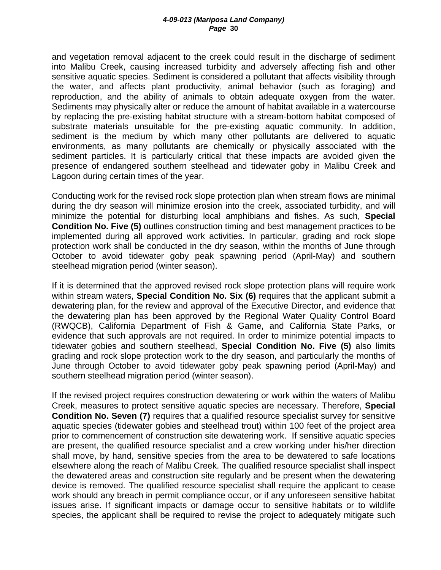and vegetation removal adjacent to the creek could result in the discharge of sediment into Malibu Creek, causing increased turbidity and adversely affecting fish and other sensitive aquatic species. Sediment is considered a pollutant that affects visibility through the water, and affects plant productivity, animal behavior (such as foraging) and reproduction, and the ability of animals to obtain adequate oxygen from the water. Sediments may physically alter or reduce the amount of habitat available in a watercourse by replacing the pre-existing habitat structure with a stream-bottom habitat composed of substrate materials unsuitable for the pre-existing aquatic community. In addition, sediment is the medium by which many other pollutants are delivered to aquatic environments, as many pollutants are chemically or physically associated with the sediment particles. It is particularly critical that these impacts are avoided given the presence of endangered southern steelhead and tidewater goby in Malibu Creek and Lagoon during certain times of the year.

Conducting work for the revised rock slope protection plan when stream flows are minimal during the dry season will minimize erosion into the creek, associated turbidity, and will minimize the potential for disturbing local amphibians and fishes. As such, **Special Condition No. Five (5)** outlines construction timing and best management practices to be implemented during all approved work activities. In particular, grading and rock slope protection work shall be conducted in the dry season, within the months of June through October to avoid tidewater goby peak spawning period (April-May) and southern steelhead migration period (winter season).

If it is determined that the approved revised rock slope protection plans will require work within stream waters, **Special Condition No. Six (6)** requires that the applicant submit a dewatering plan, for the review and approval of the Executive Director, and evidence that the dewatering plan has been approved by the Regional Water Quality Control Board (RWQCB), California Department of Fish & Game, and California State Parks, or evidence that such approvals are not required. In order to minimize potential impacts to tidewater gobies and southern steelhead, **Special Condition No. Five (5)** also limits grading and rock slope protection work to the dry season, and particularly the months of June through October to avoid tidewater goby peak spawning period (April-May) and southern steelhead migration period (winter season).

If the revised project requires construction dewatering or work within the waters of Malibu Creek, measures to protect sensitive aquatic species are necessary. Therefore, **Special Condition No. Seven (7)** requires that a qualified resource specialist survey for sensitive aquatic species (tidewater gobies and steelhead trout) within 100 feet of the project area prior to commencement of construction site dewatering work. If sensitive aquatic species are present, the qualified resource specialist and a crew working under his/her direction shall move, by hand, sensitive species from the area to be dewatered to safe locations elsewhere along the reach of Malibu Creek. The qualified resource specialist shall inspect the dewatered areas and construction site regularly and be present when the dewatering device is removed. The qualified resource specialist shall require the applicant to cease work should any breach in permit compliance occur, or if any unforeseen sensitive habitat issues arise. If significant impacts or damage occur to sensitive habitats or to wildlife species, the applicant shall be required to revise the project to adequately mitigate such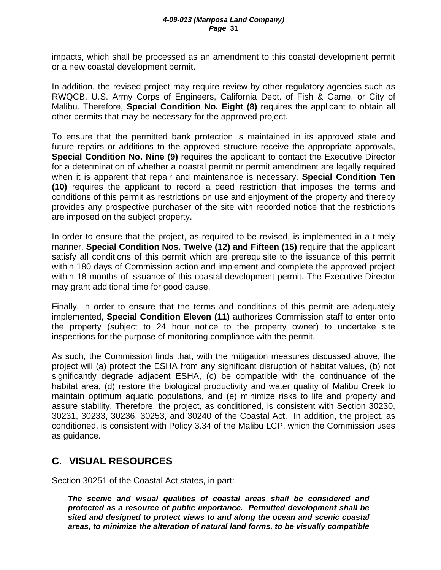impacts, which shall be processed as an amendment to this coastal development permit or a new coastal development permit.

In addition, the revised project may require review by other regulatory agencies such as RWQCB, U.S. Army Corps of Engineers, California Dept. of Fish & Game, or City of Malibu. Therefore, **Special Condition No. Eight (8)** requires the applicant to obtain all other permits that may be necessary for the approved project.

To ensure that the permitted bank protection is maintained in its approved state and future repairs or additions to the approved structure receive the appropriate approvals, **Special Condition No. Nine (9)** requires the applicant to contact the Executive Director for a determination of whether a coastal permit or permit amendment are legally required when it is apparent that repair and maintenance is necessary. **Special Condition Ten (10)** requires the applicant to record a deed restriction that imposes the terms and conditions of this permit as restrictions on use and enjoyment of the property and thereby provides any prospective purchaser of the site with recorded notice that the restrictions are imposed on the subject property.

In order to ensure that the project, as required to be revised, is implemented in a timely manner, **Special Condition Nos. Twelve (12) and Fifteen (15)** require that the applicant satisfy all conditions of this permit which are prerequisite to the issuance of this permit within 180 days of Commission action and implement and complete the approved project within 18 months of issuance of this coastal development permit. The Executive Director may grant additional time for good cause.

Finally, in order to ensure that the terms and conditions of this permit are adequately implemented, **Special Condition Eleven (11)** authorizes Commission staff to enter onto the property (subject to 24 hour notice to the property owner) to undertake site inspections for the purpose of monitoring compliance with the permit.

As such, the Commission finds that, with the mitigation measures discussed above, the project will (a) protect the ESHA from any significant disruption of habitat values, (b) not significantly degrade adjacent ESHA, (c) be compatible with the continuance of the habitat area, (d) restore the biological productivity and water quality of Malibu Creek to maintain optimum aquatic populations, and (e) minimize risks to life and property and assure stability. Therefore, the project, as conditioned, is consistent with Section 30230, 30231, 30233, 30236, 30253, and 30240 of the Coastal Act. In addition, the project, as conditioned, is consistent with Policy 3.34 of the Malibu LCP, which the Commission uses as guidance.

## **C. VISUAL RESOURCES**

Section 30251 of the Coastal Act states, in part:

*The scenic and visual qualities of coastal areas shall be considered and protected as a resource of public importance. Permitted development shall be sited and designed to protect views to and along the ocean and scenic coastal areas, to minimize the alteration of natural land forms, to be visually compatible*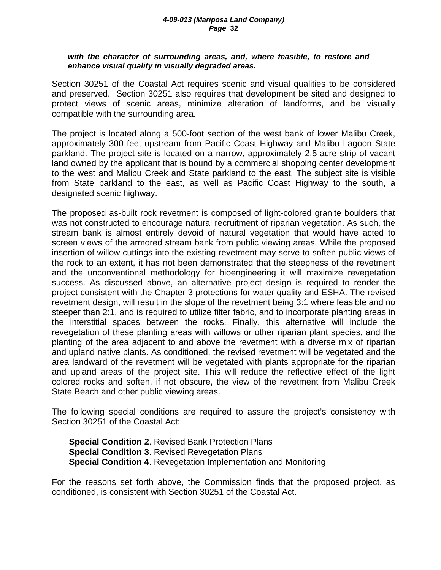#### *with the character of surrounding areas, and, where feasible, to restore and enhance visual quality in visually degraded areas.*

Section 30251 of the Coastal Act requires scenic and visual qualities to be considered and preserved. Section 30251 also requires that development be sited and designed to protect views of scenic areas, minimize alteration of landforms, and be visually compatible with the surrounding area.

The project is located along a 500-foot section of the west bank of lower Malibu Creek, approximately 300 feet upstream from Pacific Coast Highway and Malibu Lagoon State parkland. The project site is located on a narrow, approximately 2.5-acre strip of vacant land owned by the applicant that is bound by a commercial shopping center development to the west and Malibu Creek and State parkland to the east. The subject site is visible from State parkland to the east, as well as Pacific Coast Highway to the south, a designated scenic highway.

The proposed as-built rock revetment is composed of light-colored granite boulders that was not constructed to encourage natural recruitment of riparian vegetation. As such, the stream bank is almost entirely devoid of natural vegetation that would have acted to screen views of the armored stream bank from public viewing areas. While the proposed insertion of willow cuttings into the existing revetment may serve to soften public views of the rock to an extent, it has not been demonstrated that the steepness of the revetment and the unconventional methodology for bioengineering it will maximize revegetation success. As discussed above, an alternative project design is required to render the project consistent with the Chapter 3 protections for water quality and ESHA. The revised revetment design, will result in the slope of the revetment being 3:1 where feasible and no steeper than 2:1, and is required to utilize filter fabric, and to incorporate planting areas in the interstitial spaces between the rocks. Finally, this alternative will include the revegetation of these planting areas with willows or other riparian plant species, and the planting of the area adjacent to and above the revetment with a diverse mix of riparian and upland native plants. As conditioned, the revised revetment will be vegetated and the area landward of the revetment will be vegetated with plants appropriate for the riparian and upland areas of the project site. This will reduce the reflective effect of the light colored rocks and soften, if not obscure, the view of the revetment from Malibu Creek State Beach and other public viewing areas.

The following special conditions are required to assure the project's consistency with Section 30251 of the Coastal Act:

**Special Condition 2**. Revised Bank Protection Plans **Special Condition 3**. Revised Revegetation Plans **Special Condition 4**. Revegetation Implementation and Monitoring

For the reasons set forth above, the Commission finds that the proposed project, as conditioned, is consistent with Section 30251 of the Coastal Act.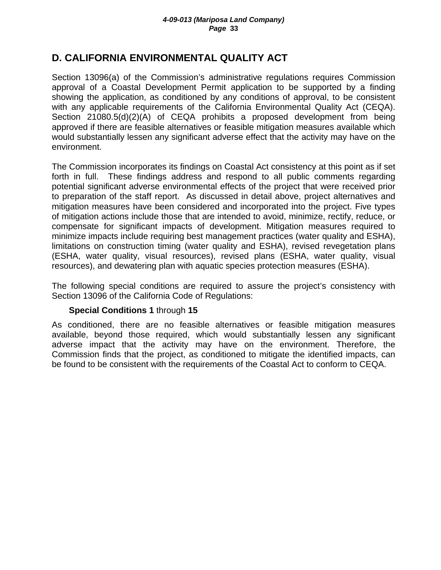## **D. CALIFORNIA ENVIRONMENTAL QUALITY ACT**

Section 13096(a) of the Commission's administrative regulations requires Commission approval of a Coastal Development Permit application to be supported by a finding showing the application, as conditioned by any conditions of approval, to be consistent with any applicable requirements of the California Environmental Quality Act (CEQA). Section 21080.5(d)(2)(A) of CEQA prohibits a proposed development from being approved if there are feasible alternatives or feasible mitigation measures available which would substantially lessen any significant adverse effect that the activity may have on the environment.

The Commission incorporates its findings on Coastal Act consistency at this point as if set forth in full. These findings address and respond to all public comments regarding potential significant adverse environmental effects of the project that were received prior to preparation of the staff report. As discussed in detail above, project alternatives and mitigation measures have been considered and incorporated into the project. Five types of mitigation actions include those that are intended to avoid, minimize, rectify, reduce, or compensate for significant impacts of development. Mitigation measures required to minimize impacts include requiring best management practices (water quality and ESHA), limitations on construction timing (water quality and ESHA), revised revegetation plans (ESHA, water quality, visual resources), revised plans (ESHA, water quality, visual resources), and dewatering plan with aquatic species protection measures (ESHA).

The following special conditions are required to assure the project's consistency with Section 13096 of the California Code of Regulations:

## **Special Conditions 1** through **15**

As conditioned, there are no feasible alternatives or feasible mitigation measures available, beyond those required, which would substantially lessen any significant adverse impact that the activity may have on the environment. Therefore, the Commission finds that the project, as conditioned to mitigate the identified impacts, can be found to be consistent with the requirements of the Coastal Act to conform to CEQA.